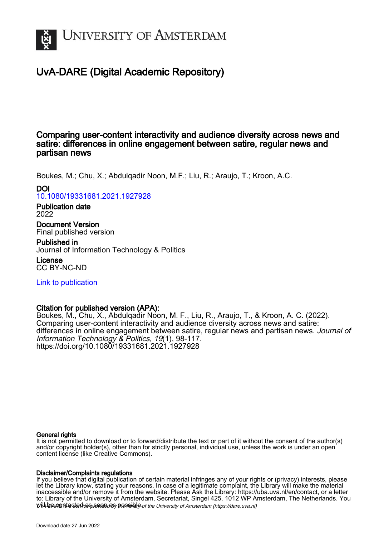

# UvA-DARE (Digital Academic Repository)

## Comparing user-content interactivity and audience diversity across news and satire: differences in online engagement between satire, regular news and partisan news

Boukes, M.; Chu, X.; Abdulqadir Noon, M.F.; Liu, R.; Araujo, T.; Kroon, A.C.

DOI

[10.1080/19331681.2021.1927928](https://doi.org/10.1080/19331681.2021.1927928)

Publication date 2022

Document Version Final published version

Published in Journal of Information Technology & Politics License

CC BY-NC-ND

[Link to publication](https://dare.uva.nl/personal/pure/en/publications/comparing-usercontent-interactivity-and-audience-diversity-across-news-and-satire-differences-in-online-engagement-between-satire-regular-news-and-partisan-news(10e06ca8-8d0e-4955-8139-e148d80ca334).html)

## Citation for published version (APA):

Boukes, M., Chu, X., Abdulqadir Noon, M. F., Liu, R., Araujo, T., & Kroon, A. C. (2022). Comparing user-content interactivity and audience diversity across news and satire: differences in online engagement between satire, regular news and partisan news. Journal of Information Technology & Politics, 19(1), 98-117. <https://doi.org/10.1080/19331681.2021.1927928>

## General rights

It is not permitted to download or to forward/distribute the text or part of it without the consent of the author(s) and/or copyright holder(s), other than for strictly personal, individual use, unless the work is under an open content license (like Creative Commons).

## Disclaimer/Complaints regulations

will be contacted as sontacty pessible of the University of Amsterdam (https://dare.uva.nl) If you believe that digital publication of certain material infringes any of your rights or (privacy) interests, please let the Library know, stating your reasons. In case of a legitimate complaint, the Library will make the material inaccessible and/or remove it from the website. Please Ask the Library: https://uba.uva.nl/en/contact, or a letter to: Library of the University of Amsterdam, Secretariat, Singel 425, 1012 WP Amsterdam, The Netherlands. You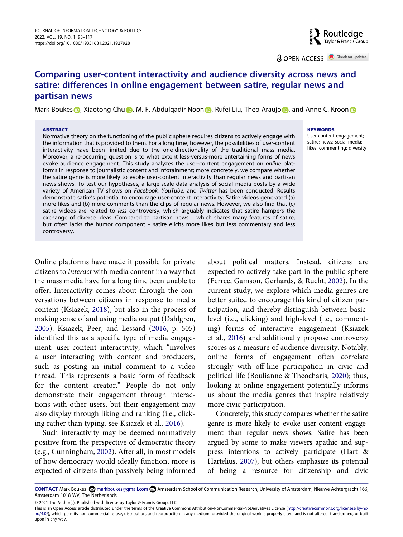**a** OPEN ACCESS **C** Check for updates

## **Comparing user-content interactivity and audience diversity across news and satire: differences in online engagement between satire, regular news and partisan news**

Mark Bouke[s](http://orcid.org/0000-0002-3377-6281) **D**, Xiaotong Ch[u](http://orcid.org/0000-0003-0480-0526) **D**[,](http://orcid.org/0000-0002-6243-9241) M. F. Abdulqadir N[o](http://orcid.org/0000-0002-4633-9339)o[n](http://orcid.org/0000-0001-7600-7979) **D**, Rufei Liu, Theo Araujo D, and Anne C. Kroon **D** 

#### **ABSTRACT**

Normative theory on the functioning of the public sphere requires citizens to actively engage with the information that is provided to them. For a long time, however, the possibilities of user-content interactivity have been limited due to the one-directionality of the traditional mass media. Moreover, a re-occurring question is to what extent less-versus-more entertaining forms of news evoke audience engagement. This study analyzes the user-content engagement on *online* platforms in response to journalistic content and infotainment; more concretely, we compare whether the satire genre is more likely to evoke user-content interactivity than regular news and partisan news shows. To test our hypotheses, a large-scale data analysis of social media posts by a wide variety of American TV shows on *Facebook, YouTube*, and *Twitter* has been conducted. Results demonstrate satire's potential to encourage user-content interactivity: Satire videos generated (a) more likes and (b) more comments than the clips of regular news. However, we also find that (c) satire videos are related to *less* controversy, which arguably indicates that satire hampers the exchange of diverse ideas. Compared to partisan news – which shares many features of satire, but often lacks the humor component – satire elicits more likes but less commentary and less controversy.

#### **KEYWORDS**

User-content engagement; satire; news; social media; likes; commenting; diversity

<span id="page-1-5"></span><span id="page-1-2"></span>Online platforms have made it possible for private citizens to *interact* with media content in a way that the mass media have for a long time been unable to offer. Interactivity comes about through the conversations between citizens in response to media content (Ksiazek, [2018\)](#page-14-0), but also in the process of making sense of and using media output (Dahlgren, [2005](#page-13-0)). Ksiazek, Peer, and Lessard ([2016,](#page-14-1) p. 505) identified this as a specific type of media engagement: user-content interactivity, which "involves a user interacting with content and producers, such as posting an initial comment to a video thread. This represents a basic form of feedback for the content creator." People do not only demonstrate their engagement through interactions with other users, but their engagement may also display through liking and ranking (i.e., clicking rather than typing, see Ksiazek et al., [2016\)](#page-14-1).

<span id="page-1-1"></span>Such interactivity may be deemed normatively positive from the perspective of democratic theory (e.g., Cunningham, [2002\)](#page-13-1). After all, in most models of how democracy would ideally function, more is expected of citizens than passively being informed

<span id="page-1-6"></span><span id="page-1-3"></span>about political matters. Instead, citizens are expected to actively take part in the public sphere (Ferree, Gamson, Gerhards, & Rucht, [2002](#page-13-2)). In the current study, we explore which media genres are better suited to encourage this kind of citizen participation, and thereby distinguish between basiclevel (i.e., clicking) and high-level (i.e., commenting) forms of interactive engagement (Ksiazek et al., [2016\)](#page-14-1) and additionally propose controversy scores as a measure of audience diversity. Notably, online forms of engagement often correlate strongly with off-line participation in civic and political life (Boulianne & Theocharis, [2020](#page-13-3)); thus, looking at online engagement potentially informs us about the media genres that inspire relatively more civic participation.

<span id="page-1-4"></span><span id="page-1-0"></span>Concretely, this study compares whether the satire genre is more likely to evoke user-content engagement than regular news shows: Satire has been argued by some to make viewers apathic and suppress intentions to actively participate (Hart & Hartelius, [2007](#page-13-4)), but others emphasize its potential of being a resource for citizenship and civic

**CONTACT** Mark Boukes **@** markboukes@gmail.com **and Amsterdam School of Communication Research, University of Amsterdam, Nieuwe Achtergracht 166,** Amsterdam 1018 WV, The Netherlands

© 2021 The Author(s). Published with license by Taylor & Francis Group, LLC.

This is an Open Access article distributed under the terms of the Creative Commons Attribution-NonCommercial-NoDerivatives License (http://creativecommons.org/licenses/by-ncnd/4.0/), which permits non-commercial re-use, distribution, and reproduction in any medium, provided the original work is properly cited, and is not altered, transformed, or built upon in any way.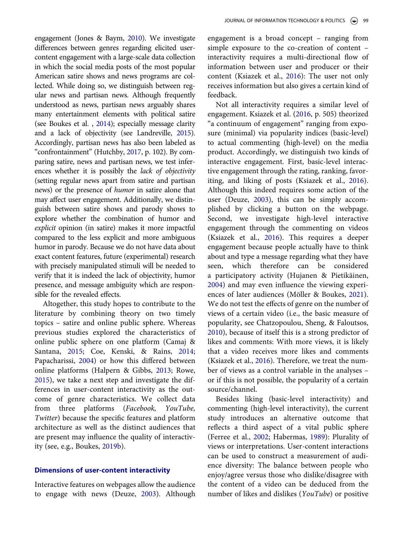<span id="page-2-10"></span><span id="page-2-9"></span><span id="page-2-8"></span><span id="page-2-1"></span>engagement (Jones & Baym, [2010](#page-14-2)). We investigate differences between genres regarding elicited usercontent engagement with a large-scale data collection in which the social media posts of the most popular American satire shows and news programs are collected. While doing so, we distinguish between regular news and partisan news. Although frequently understood as news, partisan news arguably shares many entertainment elements with political satire (see Boukes et al. , [2014\)](#page-13-5); especially message clarity and a lack of objectivity (see Landreville, [2015\)](#page-14-3). Accordingly, partisan news has also been labeled as "confrontainment" (Hutchby, [2017](#page-14-4), p. 102). By comparing satire, news and partisan news, we test inferences whether it is possibly the *lack of objectivity*  (setting regular news apart from satire and partisan news) or the presence of *humor* in satire alone that may affect user engagement. Additionally, we distinguish between satire shows and parody shows to explore whether the combination of humor and *explicit* opinion (in satire) makes it more impactful compared to the less explicit and more ambiguous humor in parody. Because we do not have data about exact content features, future (experimental) research with precisely manipulated stimuli will be needed to verify that it is indeed the lack of objectivity, humor presence, and message ambiguity which are responsible for the revealed effects.

<span id="page-2-12"></span><span id="page-2-6"></span><span id="page-2-2"></span>Altogether, this study hopes to contribute to the literature by combining theory on two timely topics – satire and online public sphere. Whereas previous studies explored the characteristics of online public sphere on one platform (Camaj & Santana, [2015;](#page-13-6) Coe, Kenski, & Rains, [2014](#page-13-7); Papacharissi, [2004](#page-14-5)) or how this differed between online platforms (Halpern & Gibbs, [2013](#page-13-8); Rowe, [2015](#page-14-6)), we take a next step and investigate the differences in user-content interactivity as the outcome of genre characteristics. We collect data from three platforms (*Facebook, YouTube, Twitter*) because the specific features and platform architecture as well as the distinct audiences that are present may influence the quality of interactivity (see, e.g., Boukes, [2019b\)](#page-12-0).

## <span id="page-2-0"></span>**Dimensions of user-content interactivity**

Interactive features on webpages allow the audience to engage with news (Deuze, [2003](#page-13-9)). Although

engagement is a broad concept – ranging from simple exposure to the co-creation of content – interactivity requires a multi-directional flow of information between user and producer or their content (Ksiazek et al., [2016\)](#page-14-1): The user not only receives information but also gives a certain kind of feedback.

<span id="page-2-4"></span>Not all interactivity requires a similar level of engagement. Ksiazek et al. ([2016,](#page-14-1) p. 505) theorized "a continuum of engagement" ranging from exposure (minimal) via popularity indices (basic-level) to actual commenting (high-level) on the media product. Accordingly, we distinguish two kinds of interactive engagement. First, basic-level interactive engagement through the rating, ranking, favoriting, and liking of posts (Ksiazek et al., [2016](#page-14-1)). Although this indeed requires some action of the user (Deuze, [2003\)](#page-13-9), this can be simply accomplished by clicking a button on the webpage. Second, we investigate high-level interactive engagement through the commenting on videos (Ksiazek et al., [2016\)](#page-14-1). This requires a deeper engagement because people actually have to think about and type a message regarding what they have seen, which therefore can be considered a participatory activity (Hujanen & Pietikäinen, [2004](#page-14-7)) and may even influence the viewing experiences of later audiences (Möller & Boukes, [2021](#page-14-8)). We do not test the effects of genre on the number of views of a certain video (i.e., the basic measure of popularity, see Chatzopoulou, Sheng, & Faloutsos, [2010](#page-13-10)), because of itself this is a strong predictor of likes and comments: With more views, it is likely that a video receives more likes and comments (Ksiazek et al., [2016](#page-14-1)). Therefore, we treat the number of views as a control variable in the analyses – or if this is not possible, the popularity of a certain source/channel.

<span id="page-2-11"></span><span id="page-2-7"></span><span id="page-2-5"></span><span id="page-2-3"></span>Besides liking (basic-level interactivity) and commenting (high-level interactivity), the current study introduces an alternative outcome that reflects a third aspect of a vital public sphere (Ferree et al., [2002;](#page-13-2) Habermas, [1989](#page-13-11)): Plurality of views or interpretations. User-content interactions can be used to construct a measurement of audience diversity: The balance between people who enjoy/agree versus those who dislike/disagree with the content of a video can be deduced from the number of likes and dislikes (*YouTube*) or positive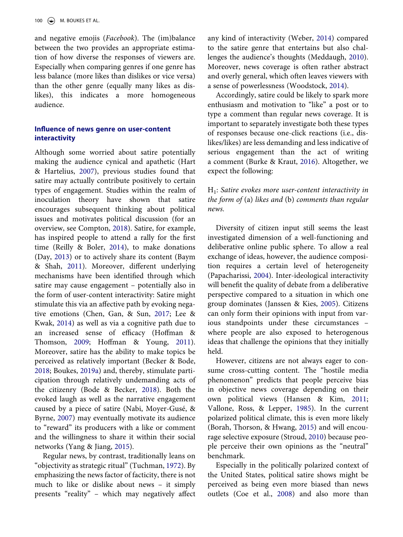and negative emojis (*Facebook*). The (im)balance between the two provides an appropriate estimation of how diverse the responses of viewers are. Especially when comparing genres if one genre has less balance (more likes than dislikes or vice versa) than the other genre (equally many likes as dislikes), this indicates a more homogeneous audience.

## **Influence of news genre on user-content interactivity**

<span id="page-3-16"></span><span id="page-3-9"></span><span id="page-3-8"></span><span id="page-3-0"></span>Although some worried about satire potentially making the audience cynical and apathetic (Hart & Hartelius, [2007\)](#page-13-4), previous studies found that satire may actually contribute positively to certain types of engagement. Studies within the realm of inoculation theory have shown that satire encourages subsequent thinking about political issues and motivates political discussion (for an overview, see Compton, [2018](#page-13-12)). Satire, for example, has inspired people to attend a rally for the first time (Reilly & Boler, [2014](#page-14-9)), to make donations (Day, [2013](#page-13-13)) or to actively share its content (Baym & Shah, [2011](#page-12-1)). Moreover, different underlying mechanisms have been identified through which satire may cause engagement – potentially also in the form of user-content interactivity: Satire might stimulate this via an affective path by evoking negative emotions (Chen, Gan, & Sun, [2017;](#page-13-14) Lee & Kwak, [2014\)](#page-14-10) as well as via a cognitive path due to an increased sense of efficacy (Hoffman & Thomson, [2009](#page-13-15); Hoffman & Young, [2011](#page-13-16)). Moreover, satire has the ability to make topics be perceived as relatively important (Becker & Bode, [2018](#page-12-2); Boukes, [2019a](#page-12-3)) and, thereby, stimulate participation through relatively undemanding acts of the citizenry (Bode & Becker, [2018](#page-12-4)). Both the evoked laugh as well as the narrative engagement caused by a piece of satire (Nabi, Moyer-Gusé, & Byrne, [2007\)](#page-14-11) may eventually motivate its audience to "reward" its producers with a like or comment and the willingness to share it within their social networks (Yang & Jiang, [2015\)](#page-15-0).

<span id="page-3-22"></span><span id="page-3-18"></span><span id="page-3-15"></span><span id="page-3-13"></span><span id="page-3-11"></span><span id="page-3-6"></span><span id="page-3-4"></span><span id="page-3-2"></span><span id="page-3-1"></span>Regular news, by contrast, traditionally leans on "objectivity as strategic ritual" (Tuchman, [1972\)](#page-15-1). By emphasizing the news factor of facticity, there is not much to like or dislike about news – it simply presents "reality" – which may negatively affect

<span id="page-3-20"></span><span id="page-3-14"></span>any kind of interactivity (Weber, [2014\)](#page-15-2) compared to the satire genre that entertains but also challenges the audience's thoughts (Meddaugh, [2010](#page-14-12)). Moreover, news coverage is often rather abstract and overly general, which often leaves viewers with a sense of powerlessness (Woodstock, [2014\)](#page-15-3).

<span id="page-3-21"></span>Accordingly, satire could be likely to spark more enthusiasm and motivation to "like" a post or to type a comment than regular news coverage. It is important to separately investigate both these types of responses because one-click reactions (i.e., dislikes/likes) are less demanding and less indicative of serious engagement than the act of writing a comment (Burke & Kraut, [2016\)](#page-13-17). Altogether, we expect the following:

## <span id="page-3-5"></span>H1: *Satire evokes more user-content interactivity in the form of* (a) *likes and* (b) *comments than regular news.*

Diversity of citizen input still seems the least investigated dimension of a well-functioning and deliberative online public sphere. To allow a real exchange of ideas, however, the audience composition requires a certain level of heterogeneity (Papacharissi, [2004](#page-14-5)). Inter-ideological interactivity will benefit the quality of debate from a deliberative perspective compared to a situation in which one group dominates (Janssen & Kies, [2005\)](#page-14-13). Citizens can only form their opinions with input from various standpoints under these circumstances – where people are also exposed to heterogenous ideas that challenge the opinions that they initially held.

<span id="page-3-19"></span><span id="page-3-12"></span><span id="page-3-10"></span>However, citizens are not always eager to consume cross-cutting content. The "hostile media phenomenon" predicts that people perceive bias in objective news coverage depending on their own political views (Hansen & Kim, [2011](#page-13-18); Vallone, Ross, & Lepper, [1985\)](#page-15-4). In the current polarized political climate, this is even more likely (Borah, Thorson, & Hwang, [2015\)](#page-12-5) and will encourage selective exposure (Stroud, [2010\)](#page-14-14) because people perceive their own opinions as the "neutral" benchmark.

<span id="page-3-17"></span><span id="page-3-7"></span><span id="page-3-3"></span>Especially in the politically polarized context of the United States, political satire shows might be perceived as being even more biased than news outlets (Coe et al., [2008\)](#page-13-19) and also more than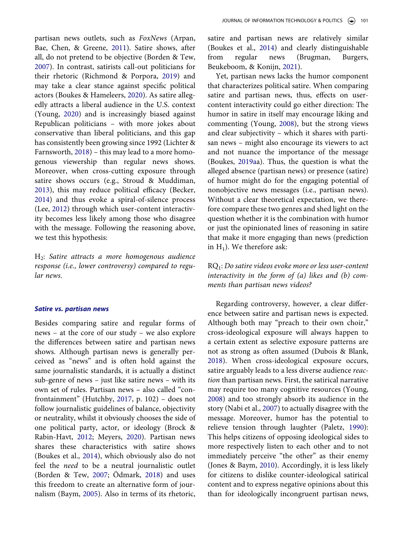<span id="page-4-14"></span><span id="page-4-11"></span><span id="page-4-4"></span><span id="page-4-0"></span>partisan news outlets, such as *FoxNews* (Arpan, Bae, Chen, & Greene, [2011](#page-12-6)). Satire shows, after all, do not pretend to be objective (Borden & Tew, [2007](#page-12-7)). In contrast, satirists call-out politicians for their rhetoric (Richmond & Porpora, [2019](#page-14-15)) and may take a clear stance against specific political actors (Boukes & Hameleers, [2020](#page-13-20)). As satire allegedly attracts a liberal audience in the U.S. context (Young, [2020\)](#page-15-5) and is increasingly biased against Republican politicians – with more jokes about conservative than liberal politicians, and this gap has consistently been growing since 1992 (Lichter & Farnsworth, [2018\)](#page-14-16) – this may lead to a more homogenous viewership than regular news shows. Moreover, when cross-cutting exposure through satire shows occurs (e.g., Stroud & Muddiman, [2013](#page-15-6)), this may reduce political efficacy (Becker, [2014](#page-12-8)) and thus evoke a spiral-of-silence process (Lee, [2012\)](#page-14-17) through which user-content interactivity becomes less likely among those who disagree with the message. Following the reasoning above, we test this hypothesis:

<span id="page-4-12"></span><span id="page-4-9"></span><span id="page-4-8"></span><span id="page-4-2"></span>H2: *Satire attracts a more homogenous audience response (i.e., lower controversy) compared to regular news.*

#### *Satire vs. partisan news*

<span id="page-4-5"></span><span id="page-4-3"></span><span id="page-4-1"></span>Besides comparing satire and regular forms of news – at the core of our study – we also explore the differences between satire and partisan news shows. Although partisan news is generally perceived as "news" and is often hold against the same journalistic standards, it is actually a distinct sub-genre of news – just like satire news – with its own set of rules. Partisan news – also called "confrontainment" (Hutchby, [2017](#page-14-4), p. 102) – does not follow journalistic guidelines of balance, objectivity or neutrality, whilst it obviously chooses the side of one political party, actor, or ideology (Brock & Rabin-Havt, [2012;](#page-13-21) Meyers, [2020\)](#page-14-18). Partisan news shares these characteristics with satire shows (Boukes et al., [2014\)](#page-13-5), which obviously also do not feel the *need* to be a neutral journalistic outlet (Borden & Tew, [2007;](#page-12-7) Ödmark, [2018](#page-14-19)) and uses this freedom to create an alternative form of journalism (Baym, [2005](#page-12-9)). Also in terms of its rhetoric,

satire and partisan news are relatively similar (Boukes et al., [2014](#page-13-5)) and clearly distinguishable from regular news (Brugman, Burgers, Beukeboom, & Konijn, [2021\)](#page-13-22).

<span id="page-4-6"></span>Yet, partisan news lacks the humor component that characterizes political satire. When comparing satire and partisan news, thus, effects on usercontent interactivity could go either direction: The humor in satire in itself may encourage liking and commenting (Young, [2008\)](#page-15-7), but the strong views and clear subjectivity – which it shares with partisan news – might also encourage its viewers to act and not nuance the importance of the message (Boukes, [2019aa](#page-12-3)). Thus, the question is what the alleged absence (partisan news) or presence (satire) of humor might do for the engaging potential of nonobjective news messages (i.e., partisan news). Without a clear theoretical expectation, we therefore compare these two genres and shed light on the question whether it is the combination with humor or just the opinionated lines of reasoning in satire that make it more engaging than news (prediction in  $H_1$ ). We therefore ask:

## RQ1: *Do satire videos evoke more or less user-content interactivity in the form of (a) likes and (b) comments than partisan news videos?*

<span id="page-4-13"></span><span id="page-4-10"></span><span id="page-4-7"></span>Regarding controversy, however, a clear difference between satire and partisan news is expected. Although both may "preach to their own choir," cross-ideological exposure will always happen to a certain extent as selective exposure patterns are not as strong as often assumed (Dubois & Blank, [2018](#page-13-23)). When cross-ideological exposure occurs, satire arguably leads to a less diverse audience *reaction* than partisan news. First, the satirical narrative may require too many cognitive resources (Young, [2008](#page-15-7)) and too strongly absorb its audience in the story (Nabi et al., [2007\)](#page-14-11) to actually disagree with the message. Moreover, humor has the potential to relieve tension through laughter (Paletz, [1990](#page-14-20)): This helps citizens of opposing ideological sides to more respectively listen to each other and to not immediately perceive "the other" as their enemy (Jones & Baym, [2010\)](#page-14-2). Accordingly, it is less likely for citizens to dislike counter-ideological satirical content and to express negative opinions about this than for ideologically incongruent partisan news,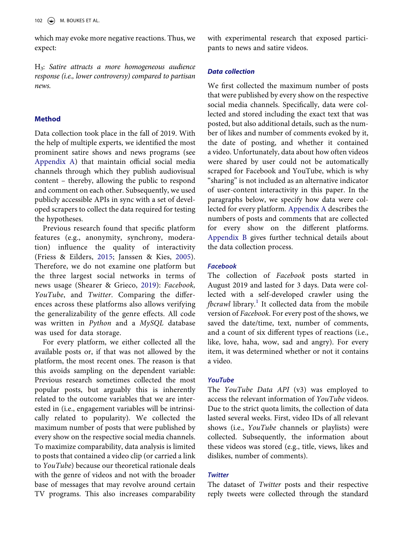which may evoke more negative reactions. Thus, we expect:

H3: *Satire attracts a more homogeneous audience response (i.e., lower controversy) compared to partisan news.*

## **Method**

Data collection took place in the fall of 2019. With the help of multiple experts, we identified the most prominent satire shows and news programs (see [Appendix A](#page-15-8)) that maintain official social media channels through which they publish audiovisual content – thereby, allowing the public to respond and comment on each other. Subsequently, we used publicly accessible APIs in sync with a set of developed scrapers to collect the data required for testing the hypotheses.

<span id="page-5-1"></span><span id="page-5-0"></span>Previous research found that specific platform features (e.g., anonymity, synchrony, moderation) influence the quality of interactivity (Friess & Eilders, [2015](#page-13-24); Janssen & Kies, [2005](#page-14-13)). Therefore, we do not examine one platform but the three largest social networks in terms of news usage (Shearer & Grieco, [2019](#page-14-21)): *Facebook, YouTube*, and *Twitter*. Comparing the differences across these platforms also allows verifying the generalizability of the genre effects. All code was written in *Python* and a *MySQL* database was used for data storage.

For every platform, we either collected all the available posts or, if that was not allowed by the platform, the most recent ones. The reason is that this avoids sampling on the dependent variable: Previous research sometimes collected the most popular posts, but arguably this is inherently related to the outcome variables that we are interested in (i.e., engagement variables will be intrinsically related to popularity). We collected the maximum number of posts that were published by every show on the respective social media channels. To maximize comparability, data analysis is limited to posts that contained a video clip (or carried a link to *YouTube*) because our theoretical rationale deals with the genre of videos and not with the broader base of messages that may revolve around certain TV programs. This also increases comparability

with experimental research that exposed participants to news and satire videos.

#### *Data collection*

We first collected the maximum number of posts that were published by every show on the respective social media channels. Specifically, data were collected and stored including the exact text that was posted, but also additional details, such as the number of likes and number of comments evoked by it, the date of posting, and whether it contained a video. Unfortunately, data about how often videos were shared by user could not be automatically scraped for Facebook and YouTube, which is why "sharing" is not included as an alternative indicator of user-content interactivity in this paper. In the paragraphs below, we specify how data were collected for every platform. [Appendix A](#page-15-8) describes the numbers of posts and comments that are collected for every show on the different platforms. [Appendix B](#page-15-9) gives further technical details about the data collection process.

#### *Facebook*

The collection of *Facebook* posts started in August 2019 and lasted for 3 days. Data were collected with a self-developed crawler using the *fbcrawl* library.<sup>[1](#page-12-10)</sup> It collected data from the mobile version of *Facebook*. For every post of the shows, we saved the date/time, text, number of comments, and a count of six different types of reactions (i.e., like, love, haha, wow, sad and angry). For every item, it was determined whether or not it contains a video.

#### *YouTube*

The *YouTube Data API* (v3) was employed to access the relevant information of *YouTube* videos. Due to the strict quota limits, the collection of data lasted several weeks. First, video IDs of all relevant shows (i.e., *YouTube* channels or playlists) were collected. Subsequently, the information about these videos was stored (e.g., title, views, likes and dislikes, number of comments).

## *Twitter*

The dataset of *Twitter* posts and their respective reply tweets were collected through the standard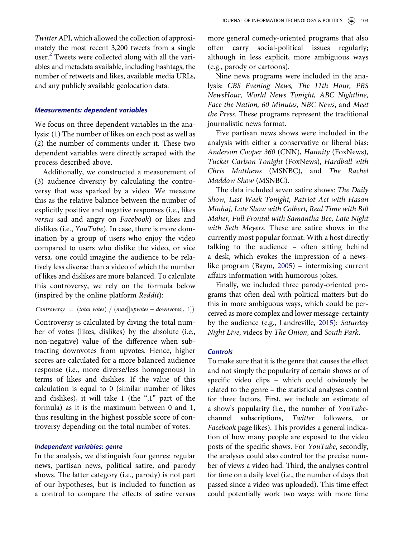*Twitter* API, which allowed the collection of approximately the most recent 3,200 tweets from a single user.<sup>2</sup> Tweets were collected along with all the variables and metadata available, including hashtags, the number of retweets and likes, available media URLs, and any publicly available geolocation data.

#### *Measurements: dependent variables*

We focus on three dependent variables in the analysis: (1) The number of likes on each post as well as (2) the number of comments under it. These two dependent variables were directly scraped with the process described above.

Additionally, we constructed a measurement of (3) audience diversity by calculating the controversy that was sparked by a video. We measure this as the relative balance between the number of explicitly positive and negative responses (i.e., likes *versus* sad and angry on *Facebook*) or likes and dislikes (i.e., *YouTube*). In case, there is more domination by a group of users who enjoy the video compared to users who dislike the video, or vice versa, one could imagine the audience to be relatively less diverse than a video of which the number of likes and dislikes are more balanced. To calculate this controversy, we rely on the formula below (inspired by the online platform *Reddit*):

### *Controversy* = (*total votes*) /  $(max[|upvotes - downvotes|, 1])$

Controversy is calculated by diving the total number of votes (likes, dislikes) by the absolute (i.e., non-negative) value of the difference when subtracting downvotes from upvotes. Hence, higher scores are calculated for a more balanced audience response (i.e., more diverse/less homogenous) in terms of likes and dislikes. If the value of this calculation is equal to 0 (similar number of likes and dislikes), it will take 1 (the ",1" part of the formula) as it is the maximum between 0 and 1, thus resulting in the highest possible score of controversy depending on the total number of votes.

## *Independent variables: genre*

In the analysis, we distinguish four genres: regular news, partisan news, political satire, and parody shows. The latter category (i.e., parody) is not part of our hypotheses, but is included to function as a control to compare the effects of satire versus more general comedy-oriented programs that also often carry social-political issues regularly; although in less explicit, more ambiguous ways (e.g., parody or cartoons).

Nine news programs were included in the analysis: *CBS Evening News, The 11th Hour, PBS NewsHour, World News Tonight, ABC Nightline, Face the Nation, 60 Minutes, NBC News*, and *Meet the Press*. These programs represent the traditional journalistic news format.

Five partisan news shows were included in the analysis with either a conservative or liberal bias: *Anderson Cooper 360* (CNN), *Hannity* (FoxNews), *Tucker Carlson Tonight* (FoxNews), *Hardball with Chris Matthews* (MSNBC), and *The Rachel Maddow Show* (MSNBC).

The data included seven satire shows: *The Daily Show, Last Week Tonight, Patriot Act with Hasan Minhaj, Late Show with Colbert, Real Time with Bill Maher, Full Frontal with Samantha Bee, Late Night with Seth Meyers*. These are satire shows in the currently most popular format: With a host directly talking to the audience – often sitting behind a desk, which evokes the impression of a newslike program (Baym, [2005](#page-12-9)) – intermixing current affairs information with humorous jokes.

Finally, we included three parody-oriented programs that often deal with political matters but do this in more ambiguous ways, which could be perceived as more complex and lower message-certainty by the audience (e.g., Landreville, [2015](#page-14-3)): *Saturday Night Live*, videos by *The Onion*, and *South Park*.

## *Controls*

To make sure that it is the genre that causes the effect and not simply the popularity of certain shows or of specific video clips – which could obviously be related to the genre – the statistical analyses control for three factors. First, we include an estimate of a show's popularity (i.e., the number of *YouTube*channel subscriptions, *Twitter* followers, or *Facebook* page likes). This provides a general indication of how many people are exposed to the video posts of the specific shows. For *YouTube*, secondly, the analyses could also control for the precise number of views a video had. Third, the analyses control for time on a daily level (i.e., the number of days that passed since a video was uploaded). This time effect could potentially work two ways: with more time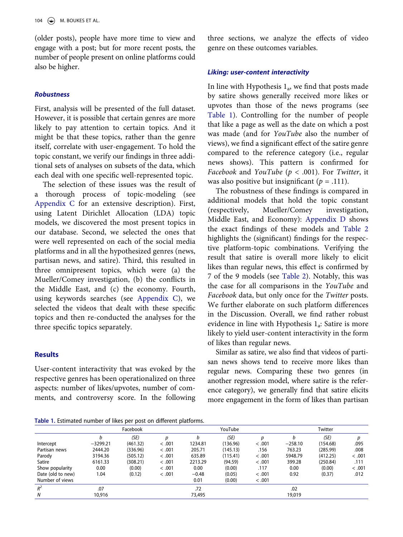(older posts), people have more time to view and engage with a post; but for more recent posts, the number of people present on online platforms could also be higher.

#### *Robustness*

First, analysis will be presented of the full dataset. However, it is possible that certain genres are more likely to pay attention to certain topics. And it might be that these topics, rather than the genre itself, correlate with user-engagement. To hold the topic constant, we verify our findings in three additional sets of analyses on subsets of the data, which each deal with one specific well-represented topic.

The selection of these issues was the result of a thorough process of topic-modeling (see [Appendix C](#page-16-0) for an extensive description). First, using Latent Dirichlet Allocation (LDA) topic models, we discovered the most present topics in our database. Second, we selected the ones that were well represented on each of the social media platforms and in all the hypothesized genres (news, partisan news, and satire). Third, this resulted in three omnipresent topics, which were (a) the Mueller/Comey investigation, (b) the conflicts in the Middle East, and (c) the economy. Fourth, using keywords searches (see [Appendix C](#page-16-0)), we selected the videos that dealt with these specific topics and then re-conducted the analyses for the three specific topics separately.

## **Results**

User-content interactivity that was evoked by the respective genres has been operationalized on three aspects: number of likes/upvotes, number of comments, and controversy score. In the following

three sections, we analyze the effects of video genre on these outcomes variables.

#### *Liking: user-content interactivity*

In line with Hypothesis  $1_a$ , we find that posts made by satire shows generally received more likes or upvotes than those of the news programs (see [Table 1](#page-7-0)). Controlling for the number of people that like a page as well as the date on which a post was made (and for *YouTube* also the number of views), we find a significant effect of the satire genre compared to the reference category (i.e., regular news shows). This pattern is confirmed for *Facebook* and *YouTube* (*p* < .001). For *Twitter*, it was also positive but insignificant  $(p = .111)$ .

The robustness of these findings is compared in additional models that hold the topic constant (respectively, Mueller/Comey investigation, Middle East, and Economy): [Appendix D](#page-17-0) shows the exact findings of these models and [Table 2](#page-8-0)  highlights the (significant) findings for the respective platform-topic combinations. Verifying the result that satire is overall more likely to elicit likes than regular news, this effect is confirmed by 7 of the 9 models (see [Table 2\)](#page-8-0). Notably, this was the case for all comparisons in the *YouTube* and *Facebook* data, but only once for the *Twitter* posts. We further elaborate on such platform differences in the Discussion. Overall, we find rather robust evidence in line with Hypothesis  $1_a$ : Satire is more likely to yield user-content interactivity in the form of likes than regular news.

Similar as satire, we also find that videos of partisan news shows tend to receive more likes than regular news. Comparing these two genres (in another regression model, where satire is the reference category), we generally find that satire elicits more engagement in the form of likes than partisan

<span id="page-7-0"></span>**Table 1.** Estimated number of likes per post on different platforms.

|                   | Facebook   |          |        |         | YouTube  |        |           | Twitter  |        |  |
|-------------------|------------|----------|--------|---------|----------|--------|-----------|----------|--------|--|
|                   | b          | (SE)     | n      | b       | (SE)     | n      | b         | (SE)     | D      |  |
| Intercept         | $-3299.21$ | (461.32) | < .001 | 1234.81 | (136.96) | < .001 | $-258.10$ | (154.68) | .095   |  |
| Partisan news     | 2444.20    | (336.96) | < .001 | 205.71  | (145.13) | .156   | 763.23    | (285.99) | .008   |  |
| Parody            | 3194.36    | (505.12) | < .001 | 635.89  | (115.41) | < .001 | 5948.79   | (412.25) | < .001 |  |
| Satire            | 6161.33    | (308.21) | < .001 | 2213.29 | (94.59)  | < .001 | 399.28    | (250.84) | .111   |  |
| Show popularity   | 0.00       | (0.00)   | < .001 | 0.00    | (0.00)   | .117   | 0.00      | (0.00)   | < .001 |  |
| Date (old to new) | 1.04       | (0.12)   | < .001 | $-0.48$ | (0.05)   | < .001 | 0.92      | (0.37)   | .012   |  |
| Number of views   |            |          |        | 0.01    | (0.00)   | < .001 |           |          |        |  |
| $R^2$             | .07        |          |        | .72     |          |        | .02       |          |        |  |
| N                 | 10,916     |          |        | 73,495  |          |        | 19,019    |          |        |  |
|                   |            |          |        |         |          |        |           |          |        |  |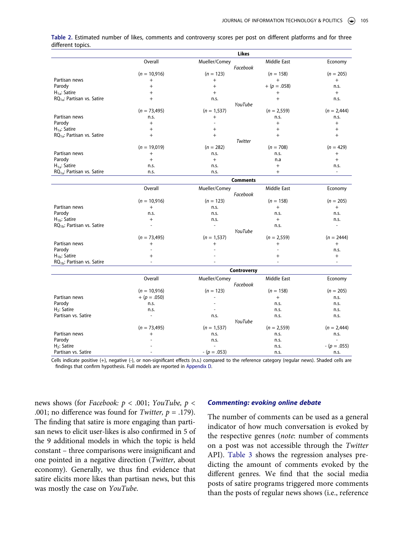|                                        |                          | Likes              |               |                |
|----------------------------------------|--------------------------|--------------------|---------------|----------------|
|                                        | Overall                  | Mueller/Comey      | Middle East   | Economy        |
|                                        |                          | Facebook           |               |                |
|                                        | $(n = 10,916)$           | $(n = 123)$        | $(n = 158)$   | $(n = 205)$    |
| Partisan news                          | $^{+}$                   | $^{+}$             | $^{+}$        | $+$            |
| Parody                                 | $\, +$                   | $\ddot{}$          | $+(p=.058)$   | n.s.           |
| $H_{1a}$ : Satire                      | $^{+}$                   | $^{+}$             | $^{+}$        | $+$            |
| $RQ_{1a}$ : Partisan vs. Satire        | $^{+}$                   | n.s.               | $+$           | n.s.           |
|                                        |                          | YouTube            |               |                |
|                                        | $(n = 73,495)$           | $(n = 1, 537)$     | $(n = 2,559)$ | $(n = 2,444)$  |
| Partisan news                          | n.s.                     | $^{+}$             | n.s.          | n.s.           |
| Parody                                 | $+$                      | $\overline{a}$     | $+$           | $+$            |
| $H_{1a}$ : Satire                      | $^{+}$                   | $+$                | $+$           | $+$            |
| RQ <sub>1a</sub> : Partisan vs. Satire | $^{+}$                   | $+$                | $+$           | $+$            |
|                                        |                          | Twitter            |               |                |
|                                        | $(n = 19,019)$           | $(n = 282)$        | $(n = 708)$   | $(n = 429)$    |
| Partisan news                          | $^{+}$                   | n.s.               | n.s.          | $^{+}$         |
| Parody                                 | $\ddot{+}$               | $+$                | n.a           | $+$            |
| $H_{1a}$ : Satire                      | n.s.                     | n.s.               | $+$           | n.s.           |
| $RQ_{1a}$ : Partisan vs. Satire        | n.s.                     | n.s.               | $+$           |                |
|                                        |                          | <b>Comments</b>    |               |                |
|                                        | Overall                  | Mueller/Comey      | Middle East   | Economy        |
|                                        |                          | Facebook           |               |                |
|                                        | $(n = 10,916)$           | $(n = 123)$        | $(n = 158)$   | $(n = 205)$    |
| Partisan news                          | $^{+}$                   | n.s.               | $+$           | $^{+}$         |
| Parody                                 | n.s.                     | n.s.               | n.s.          | n.s.           |
| $H_{1b}$ : Satire                      | $^{+}$                   | n.s.               | $+$           | n.s.           |
| RQ <sub>1b</sub> : Partisan vs. Satire | $\overline{a}$           | $\overline{a}$     | n.s.          | $\overline{a}$ |
|                                        |                          | YouTube            |               |                |
|                                        | $(n = 73,495)$           | $(n = 1, 537)$     | $(n = 2,559)$ | $(n = 2444)$   |
| Partisan news                          | $^{+}$                   | $^{+}$             | $^{+}$        | $^{+}$         |
| Parody                                 |                          |                    |               | n.s.           |
| $H_{1b}$ : Satire                      | $^{+}$                   |                    | $+$           | $+$            |
| $RQ_{1b}$ : Partisan vs. Satire        |                          |                    |               |                |
|                                        |                          | <b>Controversy</b> |               |                |
|                                        | Overall                  | Mueller/Comey      | Middle East   | Economy        |
|                                        |                          | Facebook           |               |                |
|                                        | $(n = 10,916)$           | $(n = 123)$        | $(n = 158)$   | $(n = 205)$    |
| Partisan news                          | $+$ (p = .050)           | $\overline{a}$     | $+$           | n.s.           |
| Parody                                 | n.s.                     |                    | n.s.          | n.s.           |
| $H_2$ : Satire                         | n.s.                     | $\overline{a}$     | n.s.          | n.s.           |
| Partisan vs. Satire                    | $\overline{\phantom{a}}$ | n.s.               | n.s.          | n.s.           |
|                                        |                          | YouTube            |               |                |
|                                        | $(n = 73,495)$           | $(n = 1, 537)$     | $(n = 2,559)$ | $(n = 2,444)$  |
| Partisan news                          | $^{+}$                   | n.s.               | n.s.          | n.s.           |
| Parody                                 |                          | n.s.               | n.s.          |                |
| $H_2$ : Satire                         |                          |                    | n.s.          | $-(p=.055)$    |
| Partisan vs. Satire                    |                          | $-(p=.053)$        | n.s.          | n.s.           |

<span id="page-8-0"></span>**Table 2.** Estimated number of likes, comments and controversy scores per post on different platforms and for three different topics.

Cells indicate positive (+), negative (-), or non-significant effects (n.s.) compared to the reference category (regular news). Shaded cells are findings that confirm hypothesis. Full models are reported in [Appendix D](#page-17-0).

news shows (for *Facebook: p* < .001; *YouTube, p* < .001; no difference was found for *Twitter, p* = .179). The finding that satire is more engaging than partisan news to elicit user-likes is also confirmed in 5 of the 9 additional models in which the topic is held constant – three comparisons were insignificant and one pointed in a negative direction (*Twitter*, about economy). Generally, we thus find evidence that satire elicits more likes than partisan news, but this was mostly the case on *YouTube*.

### *Commenting: evoking online debate*

The number of comments can be used as a general indicator of how much conversation is evoked by the respective genres (*note*: number of comments on a post was not accessible through the *Twitter*  API). [Table 3](#page-9-0) shows the regression analyses predicting the amount of comments evoked by the different genres. We find that the social media posts of satire programs triggered more comments than the posts of regular news shows (i.e., reference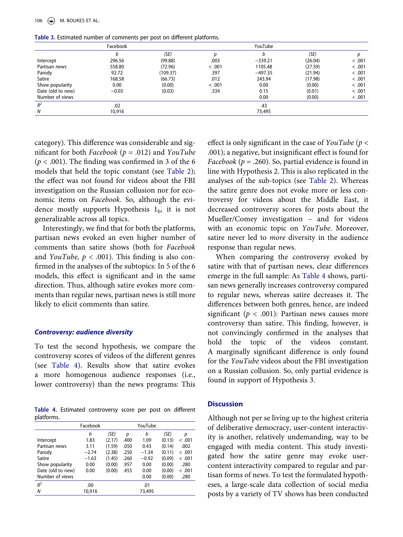<span id="page-9-0"></span>

| Table 3. Estimated number of comments per post on different platforms. |  |  |  |
|------------------------------------------------------------------------|--|--|--|
|------------------------------------------------------------------------|--|--|--|

|                   | Facebook |          |        | YouTube   |         |        |
|-------------------|----------|----------|--------|-----------|---------|--------|
|                   | b        | (SE)     | D      |           | (SE)    | D      |
| Intercept         | 296.56   | (99.88)  | .003   | $-339.21$ | (26.04) | < .001 |
| Partisan news     | 558.80   | (72.96)  | < .001 | 1105.48   | (27.59) | < .001 |
| Parody            | 92.72    | (109.37) | .397   | $-497.35$ | (21.94) | < .001 |
| Satire            | 168.58   | (66.73)  | .012   | 243.94    | (17.98) | < .001 |
| Show popularity   | 0.00     | (0.00)   | < .001 | 0.00      | (0.00)  | < .001 |
| Date (old to new) | $-0.03$  | (0.03)   | .334   | 0.15      | (0.01)  | < .001 |
| Number of views   |          |          |        | 0.00      | (0.00)  | < .001 |
| $R^2$             | .02      |          |        | .43       |         |        |
| N                 | 10,916   |          |        | 73,495    |         |        |
|                   |          |          |        |           |         |        |

category). This difference was considerable and significant for both *Facebook* (*p* = .012) and *YouTube*   $(p < .001)$ . The finding was confirmed in 3 of the 6 models that held the topic constant (see [Table 2](#page-8-0)); the effect was not found for videos about the FBI investigation on the Russian collusion nor for economic items on *Facebook*. So, although the evidence mostly supports Hypothesis  $1<sub>b</sub>$ , it is not generalizable across all topics.

Interestingly, we find that for both the platforms, partisan news evoked an even higher number of comments than satire shows (both for *Facebook*  and *YouTube*,  $p < .001$ ). This finding is also confirmed in the analyses of the subtopics: In 5 of the 6 models, this effect is significant and in the same direction. Thus, although satire evokes more comments than regular news, partisan news is still more likely to elicit comments than satire.

#### *Controversy: audience diversity*

To test the second hypothesis, we compare the controversy scores of videos of the different genres (see [Table 4\)](#page-9-1). Results show that satire evokes a more homogenous audience responses (i.e., lower controversy) than the news programs: This

<span id="page-9-1"></span>**Table 4.** Estimated controversy score per post on different platforms.

|                   | Facebook |        |      | YouTube |        |         |
|-------------------|----------|--------|------|---------|--------|---------|
|                   | b        | (SE)   | p    | b       | (SE)   | р       |
| Intercept         | 1.83     | (2.17) | .400 | 1.09    | (0.13) | < 0.001 |
| Partisan news     | 3.11     | (1.59) | .050 | 0.43    | (0.14) | .002    |
| Parody            | $-2.74$  | (2.38) | .250 | $-1.34$ | (0.11) | < 0.001 |
| Satire            | $-1.63$  | (1.45) | .260 | $-0.92$ | (0.09) | < 0.001 |
| Show popularity   | 0.00     | (0.00) | .957 | 0.00    | (0.00) | .280    |
| Date (old to new) | 0.00     | (0.00) | .455 | 0.00    | (0.00) | < 0.001 |
| Number of views   |          |        |      | 0.00    | (0.00) | .280    |
| $R^2$             | .00      |        |      | .01     |        |         |
| N                 | 10,916   |        |      | 73,495  |        |         |

effect is only significant in the case of *YouTube* (*p* < .001); a negative, but insignificant effect is found for *Facebook* ( $p = .260$ ). So, partial evidence is found in line with Hypothesis 2. This is also replicated in the analyses of the sub-topics (see [Table 2](#page-8-0)). Whereas the satire genre does not evoke more or less controversy for videos about the Middle East, it decreased controversy scores for posts about the Mueller/Comey investigation – and for videos with an economic topic on *YouTube*. Moreover, satire never led to *more* diversity in the audience response than regular news.

When comparing the controversy evoked by satire with that of partisan news, clear differences emerge in the full sample: As [Table 4](#page-9-1) shows, partisan news generally increases controversy compared to regular news, whereas satire decreases it. The differences between both genres, hence, are indeed significant ( $p < .001$ ): Partisan news causes more controversy than satire. This finding, however, is not convincingly confirmed in the analyses that hold the topic of the videos constant. A marginally significant difference is only found for the *YouTube* videos about the FBI investigation on a Russian collusion. So, only partial evidence is found in support of Hypothesis 3.

#### **Discussion**

Although not per se living up to the highest criteria of deliberative democracy, user-content interactivity is another, relatively undemanding, way to be engaged with media content. This study investigated how the satire genre may evoke usercontent interactivity compared to regular and partisan forms of news. To test the formulated hypotheses, a large-scale data collection of social media posts by a variety of TV shows has been conducted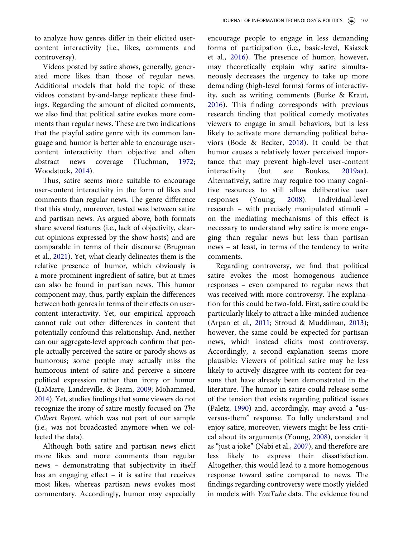to analyze how genres differ in their elicited usercontent interactivity (i.e., likes, comments and controversy).

Videos posted by satire shows, generally, generated more likes than those of regular news. Additional models that hold the topic of these videos constant by-and-large replicate these findings. Regarding the amount of elicited comments, we also find that political satire evokes more comments than regular news. These are two indications that the playful satire genre with its common language and humor is better able to encourage usercontent interactivity than objective and often abstract news coverage (Tuchman, [1972](#page-15-1); Woodstock, [2014](#page-15-3)).

Thus, satire seems more suitable to encourage user-content interactivity in the form of likes and comments than regular news. The genre difference that this study, moreover, tested was between satire and partisan news. As argued above, both formats share several features (i.e., lack of objectivity, clearcut opinions expressed by the show hosts) and are comparable in terms of their discourse (Brugman et al., [2021](#page-13-22)). Yet, what clearly delineates them is the relative presence of humor, which obviously is a more prominent ingredient of satire, but at times can also be found in partisan news. This humor component may, thus, partly explain the differences between both genres in terms of their effects on usercontent interactivity. Yet, our empirical approach cannot rule out other differences in content that potentially confound this relationship. And, neither can our aggregate-level approach confirm that people actually perceived the satire or parody shows as humorous; some people may actually miss the humorous intent of satire and perceive a sincere political expression rather than irony or humor (LaMarre, Landreville, & Beam, [2009;](#page-14-22) Mohammed, [2014\)](#page-14-23). Yet, studies findings that some viewers do not recognize the irony of satire mostly focused on *The Colbert Report*, which was not part of our sample (i.e., was not broadcasted anymore when we collected the data).

<span id="page-10-0"></span>Although both satire and partisan news elicit more likes and more comments than regular news – demonstrating that subjectivity in itself has an engaging effect – it is satire that receives most likes, whereas partisan news evokes most commentary. Accordingly, humor may especially

encourage people to engage in less demanding forms of participation (i.e., basic-level, Ksiazek et al., [2016\)](#page-14-1). The presence of humor, however, may theoretically explain why satire simultaneously decreases the urgency to take up more demanding (high-level forms) forms of interactivity, such as writing comments (Burke & Kraut, [2016](#page-13-17)). This finding corresponds with previous research finding that political comedy motivates viewers to engage in small behaviors, but is less likely to activate more demanding political behaviors (Bode & Becker, [2018\)](#page-12-4). It could be that humor causes a relatively lower perceived importance that may prevent high-level user-content interactivity (but see Boukes, [2019a](#page-12-3)a). Alternatively, satire may require too many cognitive resources to still allow deliberative user responses (Young, [2008\)](#page-15-7). Individual-level research – with precisely manipulated stimuli – on the mediating mechanisms of this effect is necessary to understand why satire is more engaging than regular news but less than partisan news – at least, in terms of the tendency to write comments.

Regarding controversy, we find that political satire evokes the most homogenous audience responses – even compared to regular news that was received with more controversy. The explanation for this could be two-fold. First, satire could be particularly likely to attract a like-minded audience (Arpan et al., [2011;](#page-12-6) Stroud & Muddiman, [2013](#page-15-6)); however, the same could be expected for partisan news, which instead elicits most controversy. Accordingly, a second explanation seems more plausible: Viewers of political satire may be less likely to actively disagree with its content for reasons that have already been demonstrated in the literature. The humor in satire could release some of the tension that exists regarding political issues (Paletz, [1990\)](#page-14-20) and, accordingly, may avoid a "usversus-them" response. To fully understand and enjoy satire, moreover, viewers might be less critical about its arguments (Young, [2008\)](#page-15-7), consider it as "just a joke" (Nabi et al., [2007\)](#page-14-11), and therefore are less likely to express their dissatisfaction. Altogether, this would lead to a more homogenous response toward satire compared to news. The findings regarding controversy were mostly yielded in models with *YouTube* data. The evidence found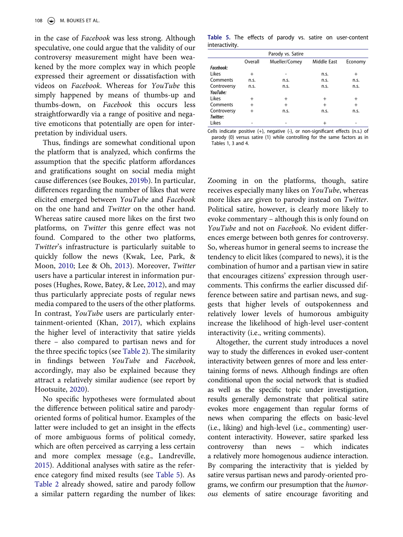in the case of *Facebook* was less strong. Although speculative, one could argue that the validity of our controversy measurement might have been weakened by the more complex way in which people expressed their agreement or dissatisfaction with videos on *Facebook*. Whereas for *YouTube* this simply happened by means of thumbs-up and thumbs-down, on *Facebook* this occurs less straightforwardly via a range of positive and negative emoticons that potentially are open for interpretation by individual users.

<span id="page-11-4"></span>Thus, findings are somewhat conditional upon the platform that is analyzed, which confirms the assumption that the specific platform affordances and gratifications sought on social media might cause differences (see Boukes, [2019b](#page-12-0)). In particular, differences regarding the number of likes that were elicited emerged between *YouTube* and *Facebook*  on the one hand and *Twitter* on the other hand. Whereas satire caused more likes on the first two platforms, on *Twitter* this genre effect was not found. Compared to the other two platforms, *Twitter*'s infrastructure is particularly suitable to quickly follow the news (Kwak, Lee, Park, & Moon, [2010](#page-14-24); Lee & Oh, [2013](#page-14-25)). Moreover, *Twitter*  users have a particular interest in information purposes (Hughes, Rowe, Batey, & Lee, [2012](#page-13-25)), and may thus particularly appreciate posts of regular news media compared to the users of the other platforms. In contrast, *YouTube* users are particularly entertainment-oriented (Khan, [2017\)](#page-14-26), which explains the higher level of interactivity that satire yields there – also compared to partisan news and for the three specific topics (see [Table 2\)](#page-8-0). The similarity in findings between *YouTube* and *Facebook*, accordingly, may also be explained because they attract a relatively similar audience (see report by Hootsuite, [2020\)](#page-13-26).

<span id="page-11-3"></span><span id="page-11-2"></span><span id="page-11-1"></span>No specific hypotheses were formulated about the difference between political satire and parodyoriented forms of political humor. Examples of the latter were included to get an insight in the effects of more ambiguous forms of political comedy, which are often perceived as carrying a less certain and more complex message (e.g., Landreville, [2015](#page-14-3)). Additional analyses with satire as the reference category find mixed results (see [Table 5](#page-11-0)). As [Table 2](#page-8-0) already showed, satire and parody follow a similar pattern regarding the number of likes:

<span id="page-11-0"></span>**Table 5.** The effects of parody vs. satire on user-content interactivity.

|             |           | Parody vs. Satire |             |         |
|-------------|-----------|-------------------|-------------|---------|
|             | Overall   | Mueller/Comey     | Middle East | Economy |
| Facebook:   |           |                   |             |         |
| Likes       | $\pm$     |                   | n.s.        | $^{+}$  |
| Comments    | n.s.      | n.s.              | n.s.        | n.s.    |
| Controversy | n.s.      | n.s.              | n.S.        | n.s.    |
| YouTube:    |           |                   |             |         |
| Likes       | $\ddot{}$ | $\ddot{}$         | $\ddot{}$   | $^{+}$  |
| Comments    | $^{+}$    | $+$               | $\ddot{}$   | $^{+}$  |
| Controversy | $^{+}$    | n.S.              | n.s.        | n.s.    |
| Twitter:    |           |                   |             |         |
| Likes       |           |                   |             |         |

Cells indicate positive (+), negative (-), or non-significant effects (n.s.) of parody (0) versus satire (1) while controlling for the same factors as in Tables 1, 3 and 4.

Zooming in on the platforms, though, satire receives especially many likes on *YouTube*, whereas more likes are given to parody instead on *Twitter*. Political satire, however, is clearly more likely to evoke commentary – although this is only found on *YouTube* and not on *Facebook*. No evident differences emerge between both genres for controversy. So, whereas humor in general seems to increase the tendency to elicit likes (compared to news), it is the combination of humor and a partisan view in satire that encourages citizens' expression through usercomments. This confirms the earlier discussed difference between satire and partisan news, and suggests that higher levels of outspokenness and relatively lower levels of humorous ambiguity increase the likelihood of high-level user-content interactivity (i.e., writing comments).

Altogether, the current study introduces a novel way to study the differences in evoked user-content interactivity between genres of more and less entertaining forms of news. Although findings are often conditional upon the social network that is studied as well as the specific topic under investigation, results generally demonstrate that political satire evokes more engagement than regular forms of news when comparing the effects on basic-level (i.e., liking) and high-level (i.e., commenting) usercontent interactivity. However, satire sparked less controversy than news – which indicates a relatively more homogenous audience interaction. By comparing the interactivity that is yielded by satire versus partisan news and parody-oriented programs, we confirm our presumption that the *humorous* elements of satire encourage favoriting and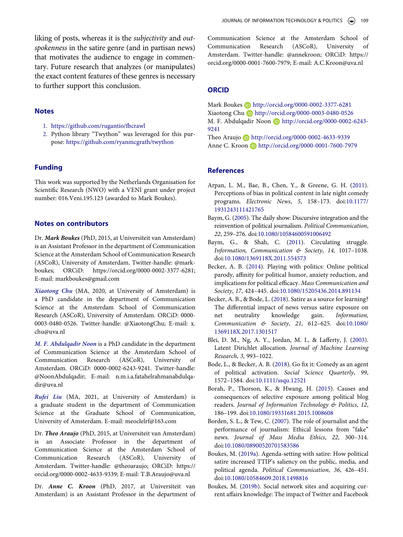liking of posts, whereas it is the *subjectivity* and *outspokenness* in the satire genre (and in partisan news) that motivates the audience to engage in commentary. Future research that analyzes (or manipulates) the exact content features of these genres is necessary to further support this conclusion.

#### **Notes**

- <span id="page-12-10"></span>1. <https://github.com/rugantio/fbcrawl>
- <span id="page-12-11"></span>2. Python library "Twython" was leveraged for this purpose: <https://github.com/ryanmcgrath/twython>

#### **Funding**

This work was supported by the Netherlands Organisation for Scientific Research (NWO) with a VENI grant under project number: 016.Veni.195.123 (awarded to Mark Boukes).

## **Notes on contributors**

Dr. *Mark Boukes* (PhD, 2015, at Universiteit van Amsterdam) is an Assistant Professor in the department of Communication Science at the Amsterdam School of Communication Research (ASCoR), University of Amsterdam. Twitter-handle: @markboukes; ORCiD: https://orcid.org/0000-0002-3377-6281; E-mail: markboukes@gmail.com

*Xiaotong Chu* (MA, 2020, at University of Amsterdam) is a PhD candidate in the department of Communication Science at the Amsterdam School of Communication Research (ASCoR), University of Amsterdam. ORCiD: 0000- 0003-0480-0526. Twitter-handle: @XiaotongChu; E-mail: x. chu@uva.nl

*M. F. Abdulqadir Noon* is a PhD candidate in the department of Communication Science at the Amsterdam School of Communication Research (ASCoR), University of Amsterdam. ORCiD: 0000-0002-6243-9241. Twitter-handle: @NoonAbdulqadir; E-mail: n.m.i.a.fatahelrahmanabdulqadir@uva.nl

*Rufei Liu* (MA, 2021, at University of Amsterdam) is a graduate student in the department of Communication Science at the Graduate School of Communication, University of Amsterdam. E-mail: meoclelrf@163.com

Dr. *Theo Araujo* (PhD, 2015, at Universiteit van Amsterdam) is an Associate Professor in the department of Communication Science at the Amsterdam School of Communication Research (ASCoR), University of Amsterdam. Twitter-handle: @theoaraujo; ORCiD: https:// orcid.org/0000-0002-4633-9339; E-mail: T.B.Araujo@uva.nl

Dr. *Anne C. Kroon* (PhD, 2017, at Universiteit van Amsterdam) is an Assistant Professor in the department of Communication Science at the Amsterdam School of Communication Research (ASCoR), University of Amsterdam. Twitter-handle: @annekroon; ORCiD: https:// orcid.org/0000-0001-7600-7979; E-mail: A.C.Kroon@uva.nl

## **ORCID**

Mark Boukes **b** http://orcid.org/0000-0002-3377-6281 Xiaotong Chu http://orcid.org/0000-0003-0480-0526 M. F. Abdulqadir Noon D http://orcid.org/0000-0002-6243-9241

Theo Araujo http://orcid.org/0000-0002-4633-9339 Anne C. Kroon D http://orcid.org/0000-0001-7600-7979

#### **References**

- <span id="page-12-6"></span>Arpan, L. M., Bae, B., Chen, Y., & Greene, G. H. [\(2011\)](#page-4-0). Perceptions of bias in political content in late night comedy programs. *Electronic News*, *5*, 158–173. doi:[10.1177/](https://doi.org/10.1177/1931243111421765)  [1931243111421765](https://doi.org/10.1177/1931243111421765)
- <span id="page-12-9"></span>Baym, G. [\(2005](#page-4-1)). The daily show: Discursive integration and the reinvention of political journalism. *Political Communication*, *22*, 259–276. doi:[10.1080/10584600591006492](https://doi.org/10.1080/10584600591006492)
- <span id="page-12-1"></span>Baym, G., & Shah, C. ([2011\)](#page-3-0). Circulating struggle. *Information, Communication & Society*, *14*, 1017–1038. doi:[10.1080/1369118X.2011.554573](https://doi.org/10.1080/1369118X.2011.554573)
- <span id="page-12-8"></span>Becker, A. B. [\(2014](#page-4-2)). Playing with politics: Online political parody, affinity for political humor, anxiety reduction, and implications for political efficacy. *Mass Communication and Society*, *17*, 424–445. doi:[10.1080/15205436.2014.891134](https://doi.org/10.1080/15205436.2014.891134)
- <span id="page-12-2"></span>Becker, A. B., & Bode, L. [\(2018](#page-3-1)). Satire as a source for learning? The differential impact of news versus satire exposure on net neutrality knowledge gain. *Information, Communication & Society*, *21*, 612–625. doi:[10.1080/](https://doi.org/10.1080/1369118X.2017.1301517)  [1369118X.2017.1301517](https://doi.org/10.1080/1369118X.2017.1301517)
- <span id="page-12-12"></span>Blei, D. M., Ng, A. Y., Jordan, M. I., & Lafferty, J. [\(2003\)](#page-16-1). Latent Dirichlet allocation. *Journal of Machine Learning Research*, *3*, 993–1022.
- <span id="page-12-4"></span>Bode, L., & Becker, A. B. ([2018](#page-3-2)). Go fix it: Comedy as an agent of political activation. *Social Science Quarterly*, *99*, 1572–1584. doi:[10.1111/ssqu.12521](https://doi.org/10.1111/ssqu.12521)
- <span id="page-12-5"></span>Borah, P., Thorson, K., & Hwang, H. ([2015](#page-3-3)). Causes and consequences of selective exposure among political blog readers. *Journal of Information Technology & Politics*, *12*, 186–199. doi:[10.1080/19331681.2015.1008608](https://doi.org/10.1080/19331681.2015.1008608)
- <span id="page-12-7"></span>Borden, S. L., & Tew, C. [\(2007](#page-4-3)). The role of journalist and the performance of journalism: Ethical lessons from "fake" news. *Journal of Mass Media Ethics*, *22*, 300–314. doi:[10.1080/08900520701583586](https://doi.org/10.1080/08900520701583586)
- <span id="page-12-3"></span>Boukes, M. ([2019a](#page-3-4)). Agenda-setting with satire: How political satire increased TTIP's saliency on the public, media, and political agenda. *Political Communication*, *36*, 426–451. doi:[10.1080/10584609.2018.1498816](https://doi.org/10.1080/10584609.2018.1498816)
- <span id="page-12-0"></span>Boukes, M. ([2019b\)](#page-2-0). Social network sites and acquiring current affairs knowledge: The impact of Twitter and Facebook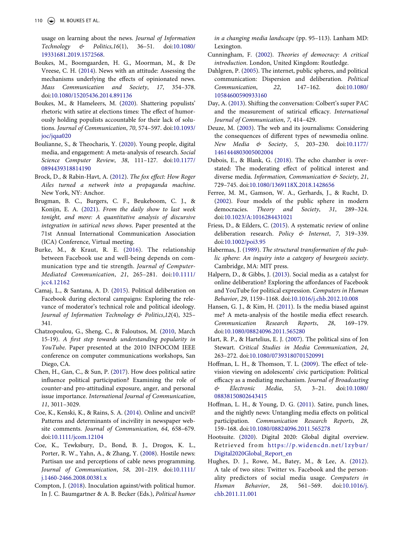usage on learning about the news. *Journal of Information Technology & Politics,16*(1), 36–51. doi:[10.1080/](https://doi.org/10.1080/19331681.2019.1572568) [19331681.2019.1572568.](https://doi.org/10.1080/19331681.2019.1572568)

- <span id="page-13-5"></span>Boukes, M., Boomgaarden, H. G., Moorman, M., & De Vreese, C. H. ([2014](#page-2-1)). News with an attitude: Assessing the mechanisms underlying the effects of opinionated news. *Mass Communication and Society*, *17*, 354–378. doi:[10.1080/15205436.2014.891136](https://doi.org/10.1080/15205436.2014.891136)
- <span id="page-13-20"></span>Boukes, M., & Hameleers, M. [\(2020\)](#page-4-4). Shattering populists' rhetoric with satire at elections times: The effect of humorously holding populists accountable for their lack of solutions. *Journal of Communication*, *70*, 574–597. doi:[10.1093/](https://doi.org/10.1093/joc/jqaa020) [joc/jqaa020](https://doi.org/10.1093/joc/jqaa020)
- <span id="page-13-3"></span>Boulianne, S., & Theocharis, Y. ([2020\)](#page-1-0). Young people, digital media, and engagement: A meta-analysis of research. *Social Science Computer Review*, *38*, 111–127. doi:[10.1177/](https://doi.org/10.1177/0894439318814190) [0894439318814190](https://doi.org/10.1177/0894439318814190)
- <span id="page-13-21"></span>Brock, D., & Rabin-Havt, A. [\(2012\)](#page-4-5). *The fox effect: How Roger Ailes turned a network into a propaganda machine*. New York, NY: Anchor.
- <span id="page-13-22"></span>Brugman, B. C., Burgers, C. F., Beukeboom, C. J., & Konijn, E. A. [\(2021\)](#page-4-6). *From the daily show to last week tonight, and more: A quantitative analysis of discursive integration in satirical news shows*. Paper presented at the 71st Annual International Communication Association (ICA) Conference, Virtual meeting.
- <span id="page-13-17"></span>Burke, M., & Kraut, R. E. ([2016\)](#page-3-5). The relationship between Facebook use and well-being depends on communication type and tie strength. *Journal of Computer-Mediated Communication*, *21*, 265–281. doi:[10.1111/](https://doi.org/10.1111/jcc4.12162) [jcc4.12162](https://doi.org/10.1111/jcc4.12162)
- <span id="page-13-6"></span>Camaj, L., & Santana, A. D. [\(2015\)](#page-2-2). Political deliberation on Facebook during electoral campaigns: Exploring the relevance of moderator's technical role and political ideology. *Journal of Information Technology & Politics*,*12*(4), 325– 341.
- <span id="page-13-10"></span>Chatzopoulou, G., Sheng, C., & Faloutsos, M. ([2010](#page-2-3), March 15-19). *A first step towards understanding popularity in YouTube*. Paper presented at the 2010 INFOCOM IEEE conference on computer communications workshops, San Diego, CA.
- <span id="page-13-14"></span>Chen, H., Gan, C., & Sun, P. ([2017\)](#page-3-6). How does political satire influence political participation? Examining the role of counter-and pro-attitudinal exposure, anger, and personal issue importance. *International Journal of Communication*, *11*, 3011–3029.
- <span id="page-13-7"></span>Coe, K., Kenski, K., & Rains, S. A. [\(2014\)](#page-2-2). Online and uncivil? Patterns and determinants of incivility in newspaper website comments. *Journal of Communication*, *64*, 658–679. doi:[10.1111/jcom.12104](https://doi.org/10.1111/jcom.12104)
- <span id="page-13-19"></span>Coe, K., Tewksbury, D., Bond, B. J., Drogos, K. L., Porter, R. W., Yahn, A., & Zhang, Y. ([2008](#page-3-7)). Hostile news: Partisan use and perceptions of cable news programming. *Journal of Communication*, *58*, 201–219. doi:[10.1111/](https://doi.org/10.1111/j.1460-2466.2008.00381.x) [j.1460-2466.2008.00381.x](https://doi.org/10.1111/j.1460-2466.2008.00381.x)
- <span id="page-13-12"></span>Compton, J. ([2018\)](#page-3-8). Inoculation against/with political humor. In J. C. Baumgartner & A. B. Becker (Eds.), *Political humor*

*in a changing media landscape* (pp. 95–113). Lanham MD: Lexington.

- <span id="page-13-1"></span>Cunningham, F. ([2002](#page-1-1)). *Theories of democracy: A critical introduction*. London, United Kingdom: Routledge.
- <span id="page-13-0"></span>Dahlgren, P. [\(2005](#page-1-2)). The internet, public spheres, and political communication: Dispersion and deliberation. *Political Communication*, *22*, 147–162. doi:[10.1080/](https://doi.org/10.1080/10584600590933160) [10584600590933160](https://doi.org/10.1080/10584600590933160)
- <span id="page-13-13"></span>Day, A. ([2013](#page-3-9)). Shifting the conversation: Colbert's super PAC and the measurement of satirical efficacy. *International Journal of Communication*, *7*, 414–429.
- <span id="page-13-9"></span>Deuze, M. [\(2003\)](#page-2-4). The web and its journalisms: Considering the consequences of different types of newsmedia online. *New Media & Society*, *5*, 203–230. doi:[10.1177/](https://doi.org/10.1177/1461444803005002004) [1461444803005002004](https://doi.org/10.1177/1461444803005002004)
- <span id="page-13-23"></span>Dubois, E., & Blank, G. ([2018](#page-4-7)). The echo chamber is overstated: The moderating effect of political interest and diverse media. *Information, Communication & Society*, *21*, 729–745. doi:[10.1080/1369118X.2018.1428656](https://doi.org/10.1080/1369118X.2018.1428656)
- <span id="page-13-2"></span>Ferree, M. M., Gamson, W. A., Gerhards, J., & Rucht, D. [\(2002\)](#page-1-3). Four models of the public sphere in modern democracies. *Theory and Society*, *31*, 289–324. doi:[10.1023/A:1016284431021](https://doi.org/10.1023/A:1016284431021)
- <span id="page-13-24"></span>Friess, D., & Eilders, C. [\(2015\)](#page-5-0). A systematic review of online deliberation research. *Policy & Internet*, *7*, 319–339. doi:[10.1002/poi3.95](https://doi.org/10.1002/poi3.95)
- <span id="page-13-11"></span>Habermas, J. ([1989](#page-2-5)). *The structural transformation of the public sphere: An inquiry into a category of bourgeois society*. Cambridge, MA: MIT press.
- <span id="page-13-8"></span>Halpern, D., & Gibbs, J. [\(2013](#page-2-6)). Social media as a catalyst for online deliberation? Exploring the affordances of Facebook and YouTube for political expression. *Computers in Human Behavior*, *29*, 1159–1168. doi:[10.1016/j.chb.2012.10.008](https://doi.org/10.1016/j.chb.2012.10.008)
- <span id="page-13-18"></span>Hansen, G. J., & Kim, H. ([2011\)](#page-3-10). Is the media biased against me? A meta-analysis of the hostile media effect research. *Communication Research Reports*, *28*, 169–179. doi:[10.1080/08824096.2011.565280](https://doi.org/10.1080/08824096.2011.565280)
- <span id="page-13-4"></span>Hart, R. P., & Hartelius, E. J. ([2007](#page-1-4)). The political sins of Jon Stewart. *Critical Studies in Media Communication*, *24*, 263–272. doi:[10.1080/07393180701520991](https://doi.org/10.1080/07393180701520991)
- <span id="page-13-15"></span>Hoffman, L. H., & Thomson, T. L. [\(2009\)](#page-3-11). The effect of television viewing on adolescents' civic participation: Political efficacy as a mediating mechanism. *Journal of Broadcasting & Electronic Media*, *53*, 3–21. doi:[10.1080/](https://doi.org/10.1080/08838150802643415)  [08838150802643415](https://doi.org/10.1080/08838150802643415)
- <span id="page-13-16"></span>Hoffman, L. H., & Young, D. G. [\(2011](#page-3-11)). Satire, punch lines, and the nightly news: Untangling media effects on political participation. *Communication Research Reports*, *28*, 159–168. doi:[10.1080/08824096.2011.565278](https://doi.org/10.1080/08824096.2011.565278)
- <span id="page-13-26"></span>Hootsuite. ([2020\)](#page-11-1). Digital 2020: Global digital overview. Retrieved from [https://p.widencdn.net/1zybur/](https://p.widencdn.net/1zybur/Digital2020Global_Report_en) [Digital2020Global\\_Report\\_en](https://p.widencdn.net/1zybur/Digital2020Global_Report_en)
- <span id="page-13-25"></span>Hughes, D. J., Rowe, M., Batey, M., & Lee, A. ([2012](#page-11-2)). A tale of two sites: Twitter vs. Facebook and the personality predictors of social media usage. *Computers in Human Behavior*, *28*, 561–569. doi:[10.1016/j.](https://doi.org/10.1016/j.chb.2011.11.001) [chb.2011.11.001](https://doi.org/10.1016/j.chb.2011.11.001)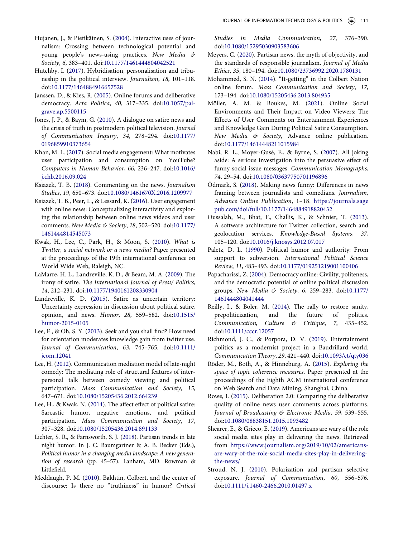- <span id="page-14-7"></span>Hujanen, J., & Pietikäinen, S. ([2004\)](#page-2-7). Interactive uses of journalism: Crossing between technological potential and young people's news-using practices. *New Media & Society*, *6*, 383–401. doi:[10.1177/1461444804042521](https://doi.org/10.1177/1461444804042521)
- <span id="page-14-4"></span>Hutchby, I. ([2017\)](#page-2-8). Hybridisation, personalisation and tribuneship in the political interview. *Journalism*, *18*, 101–118. doi:[10.1177/1464884916657528](https://doi.org/10.1177/1464884916657528)
- <span id="page-14-13"></span>Janssen, D., & Kies, R. ([2005](#page-3-12)). Online forums and deliberative democracy. *Acta Politica*, *40*, 317–335. doi:[10.1057/pal](https://doi.org/10.1057/palgrave.ap.5500115)[grave.ap.5500115](https://doi.org/10.1057/palgrave.ap.5500115)
- <span id="page-14-2"></span>Jones, J. P., & Baym, G. [\(2010\)](#page-2-9). A dialogue on satire news and the crisis of truth in postmodern political television. *Journal of Communication Inquiry*, *34*, 278–294. doi:[10.1177/](https://doi.org/10.1177/0196859910373654) [0196859910373654](https://doi.org/10.1177/0196859910373654)
- <span id="page-14-26"></span>Khan, M. L. [\(2017\)](#page-11-3). Social media engagement: What motivates user participation and consumption on YouTube? *Computers in Human Behavior*, *66*, 236–247. doi:[10.1016/](https://doi.org/10.1016/j.chb.2016.09.024) [j.chb.2016.09.024](https://doi.org/10.1016/j.chb.2016.09.024)
- <span id="page-14-0"></span>Ksiazek, T. B. ([2018\)](#page-1-5). Commenting on the news. *Journalism Studies*, *19*, 650–673. doi:[10.1080/1461670X.2016.1209977](https://doi.org/10.1080/1461670X.2016.1209977)
- <span id="page-14-1"></span>Ksiazek, T. B., Peer, L., & Lessard, K. ([2016\)](#page-1-6). User engagement with online news: Conceptualizing interactivity and exploring the relationship between online news videos and user comments. *New Media & Society*, *18*, 502–520. doi:[10.1177/](https://doi.org/10.1177/1461444814545073) [1461444814545073](https://doi.org/10.1177/1461444814545073)
- <span id="page-14-24"></span>Kwak, H., Lee, C., Park, H., & Moon, S. ([2010](#page-11-4)). *What is Twitter, a social network or a news media?* Paper presented at the proceedings of the 19th international conference on World Wide Web, Raleigh, NC.
- <span id="page-14-22"></span>LaMarre, H. L., Landreville, K. D., & Beam, M. A. ([2009](#page-10-0)). The irony of satire. *The International Journal of Press/ Politics*, *14*, 212–231. doi:[10.1177/1940161208330904](https://doi.org/10.1177/1940161208330904)
- <span id="page-14-3"></span>Landreville, K. D. [\(2015](#page-2-10)). Satire as uncertain territory: Uncertainty expression in discussion about political satire, opinion, and news. *Humor*, *28*, 559–582. doi:[10.1515/](https://doi.org/10.1515/humor-2015-0105)  [humor-2015-0105](https://doi.org/10.1515/humor-2015-0105)
- <span id="page-14-25"></span>Lee, E., & Oh, S. Y. [\(2013](#page-11-4)). Seek and you shall find? How need for orientation moderates knowledge gain from twitter use. *Journal of Communication*, *63*, 745–765. doi:[10.1111/](https://doi.org/10.1111/jcom.12041) [jcom.12041](https://doi.org/10.1111/jcom.12041)
- <span id="page-14-17"></span>Lee, H. [\(2012](#page-4-8)). Communication mediation model of late-night comedy: The mediating role of structural features of interpersonal talk between comedy viewing and political participation. *Mass Communication and Society*, *15*, 647–671. doi:[10.1080/15205436.2012.664239](https://doi.org/10.1080/15205436.2012.664239)
- <span id="page-14-10"></span>Lee, H., & Kwak, N. [\(2014](#page-3-13)). The affect effect of political satire: Sarcastic humor, negative emotions, and political participation. *Mass Communication and Society*, *17*, 307–328. doi:[10.1080/15205436.2014.891133](https://doi.org/10.1080/15205436.2014.891133)
- <span id="page-14-16"></span>Lichter, S. R., & Farnsworth, S. J. ([2018](#page-4-9)). Partisan trends in late night humor. In J. C. Baumgartner & A. B. Becker (Eds.), *Political humor in a changing media landscape: A new generation of research* (pp. 45–57). Lanham, MD: Rowman & Littlefield.
- <span id="page-14-12"></span>Meddaugh, P. M. ([2010](#page-3-14)). Bakhtin, Colbert, and the center of discourse: Is there no "truthiness" in humor? *Critical*

*Studies in Media Communication*, *27*, 376–390. doi:[10.1080/15295030903583606](https://doi.org/10.1080/15295030903583606)

- <span id="page-14-18"></span>Meyers, C. ([2020](#page-4-5)). Partisan news, the myth of objectivity, and the standards of responsible journalism. *Journal of Media Ethics*, *35*, 180–194. doi:[10.1080/23736992.2020.1780131](https://doi.org/10.1080/23736992.2020.1780131)
- <span id="page-14-23"></span>Mohammed, S. N. [\(2014](#page-10-0)). "It-getting" in the Colbert Nation online forum. *Mass Communication and Society*, *17*, 173–194. doi:[10.1080/15205436.2013.804935](https://doi.org/10.1080/15205436.2013.804935)
- <span id="page-14-8"></span>Möller, A. M. & Boukes, M. ([2021\)](#page-2-11). Online Social Environments and Their Impact on Video Viewers: The Effects of User Comments on Entertainment Experiences and Knowledge Gain During Political Satire Consumption. *New Media & Society*, Advance online publication. doi:[10.1177/14614448211015984](https://doi.org/10.1177/14614448211015984)
- <span id="page-14-11"></span>Nabi, R. L., Moyer-Gusé, E., & Byrne, S. [\(2007](#page-3-15)). All joking aside: A serious investigation into the persuasive effect of funny social issue messages. *Communication Monographs*, *74*, 29–54. doi:[10.1080/03637750701196896](https://doi.org/10.1080/03637750701196896)
- <span id="page-14-19"></span>Ödmark, S. ([2018\)](#page-4-3). Making news funny: Differences in news framing between journalists and comedians. *Journalism, Advance Online Publication*, 1–18. [https://journals.sage](https://journals.sagepub.com/doi/full/10.1177/1464884918820432) [pub.com/doi/full/10.1177/1464884918820432](https://journals.sagepub.com/doi/full/10.1177/1464884918820432)
- <span id="page-14-27"></span>Oussalah, M., Bhat, F., Challis, K., & Schnier, T. [\(2013\)](#page-16-2). A software architecture for Twitter collection, search and geolocation services. *Knowledge-Based Systems*, *37*, 105–120. doi:[10.1016/j.knosys.2012.07.017](https://doi.org/10.1016/j.knosys.2012.07.017)
- <span id="page-14-20"></span>Paletz, D. L. ([1990](#page-4-10)). Political humor and authority: From support to subversion. *International Political Science Review*, *11*, 483–493. doi:[10.1177/019251219001100406](https://doi.org/10.1177/019251219001100406)
- <span id="page-14-5"></span>Papacharissi, Z. ([2004](#page-2-12)). Democracy online: Civility, politeness, and the democratic potential of online political discussion groups. *New Media & Society*, *6*, 259–283. doi:[10.1177/](https://doi.org/10.1177/1461444804041444)  [1461444804041444](https://doi.org/10.1177/1461444804041444)
- <span id="page-14-9"></span>Reilly, I., & Boler, M. ([2014\)](#page-3-16). The rally to restore sanity, prepoliticization, and the future of politics. *Communication, Culture & Critique*, *7*, 435–452. doi:[10.1111/cccr.12057](https://doi.org/10.1111/cccr.12057)
- <span id="page-14-15"></span>Richmond, J. C., & Porpora, D. V. ([2019](#page-4-11)). Entertainment politics as a modernist project in a Baudrillard world. *Communication Theory*, *29*, 421–440. doi:[10.1093/ct/qty036](https://doi.org/10.1093/ct/qty036)
- <span id="page-14-28"></span>Röder, M., Both, A., & Hinneburg, A. [\(2015](#page-16-3)). *Exploring the space of topic coherence measures*. Paper presented at the proceedings of the Eighth ACM international conference on Web Search and Data Mining, Shanghai, China.
- <span id="page-14-6"></span>Rowe, I. ([2015\)](#page-2-6). Deliberation 2.0: Comparing the deliberative quality of online news user comments across platforms. *Journal of Broadcasting & Electronic Media*, *59*, 539–555. doi:[10.1080/08838151.2015.1093482](https://doi.org/10.1080/08838151.2015.1093482)
- <span id="page-14-21"></span>Shearer, E., & Grieco, E. ([2019](#page-5-1)). Americans are wary of the role social media sites play in delivering the news. Retrieved from [https://www.journalism.org/2019/10/02/americans](https://www.journalism.org/2019/10/02/americans-are-wary-of-the-role-social-media-sites-play-in-delivering-the-news/)[are-wary-of-the-role-social-media-sites-play-in-delivering](https://www.journalism.org/2019/10/02/americans-are-wary-of-the-role-social-media-sites-play-in-delivering-the-news/)[the-news/](https://www.journalism.org/2019/10/02/americans-are-wary-of-the-role-social-media-sites-play-in-delivering-the-news/)
- <span id="page-14-14"></span>Stroud, N. J. ([2010\)](#page-3-17). Polarization and partisan selective exposure. *Journal of Communication*, *60*, 556–576. doi:[10.1111/j.1460-2466.2010.01497.x](https://doi.org/10.1111/j.1460-2466.2010.01497.x)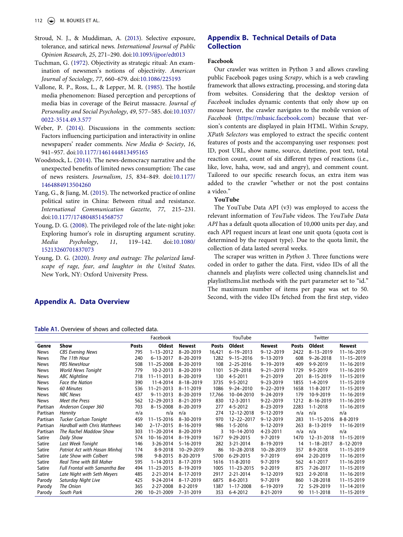- <span id="page-15-6"></span>Stroud, N. J., & Muddiman, A. [\(2013\)](#page-4-12). Selective exposure, tolerance, and satirical news. *International Journal of Public Opinion Research*, *25*, 271–290. doi:[10.1093/ijpor/edt013](https://doi.org/10.1093/ijpor/edt013)
- <span id="page-15-1"></span>Tuchman, G. ([1972](#page-3-18)). Objectivity as strategic ritual: An examination of newsmen's notions of objectivity. *American Journal of Sociology*, *77*, 660–679. doi:[10.1086/225193](https://doi.org/10.1086/225193)
- <span id="page-15-4"></span>Vallone, R. P., Ross, L., & Lepper, M. R. [\(1985\)](#page-3-19). The hostile media phenomenon: Biased perception and perceptions of media bias in coverage of the Beirut massacre. *Journal of Personality and Social Psychology*, *49*, 577–585. doi:[10.1037/](https://doi.org/10.1037/0022-3514.49.3.577) [0022-3514.49.3.577](https://doi.org/10.1037/0022-3514.49.3.577)
- <span id="page-15-2"></span>Weber, P. [\(2014](#page-3-20)). Discussions in the comments section: Factors influencing participation and interactivity in online newspapers' reader comments. *New Media & Society*, *16*, 941–957. doi:[10.1177/1461444813495165](https://doi.org/10.1177/1461444813495165)
- <span id="page-15-3"></span>Woodstock, L. [\(2014\)](#page-3-21). The news-democracy narrative and the unexpected benefits of limited news consumption: The case of news resisters. *Journalism*, *15*, 834–849. doi:[10.1177/](https://doi.org/10.1177/1464884913504260)  [1464884913504260](https://doi.org/10.1177/1464884913504260)
- <span id="page-15-0"></span>Yang, G., & Jiang, M. [\(2015\)](#page-3-22). The networked practice of online political satire in China: Between ritual and resistance. *International Communication Gazette*, *77*, 215–231. doi:[10.1177/1748048514568757](https://doi.org/10.1177/1748048514568757)
- <span id="page-15-7"></span>Young, D. G. ([2008\)](#page-4-13). The privileged role of the late-night joke: Exploring humor's role in disrupting argument scrutiny. *Media Psychology*, *11*, 119–142. doi:[10.1080/](https://doi.org/10.1080/15213260701837073)  [15213260701837073](https://doi.org/10.1080/15213260701837073)
- <span id="page-15-5"></span>Young, D. G. ([2020](#page-4-14)). *Irony and outrage: The polarized landscape of rage, fear, and laughter in the United States*. New York, NY: Oxford University Press.

## <span id="page-15-9"></span>**Appendix B. Technical Details of Data Collection**

#### **Facebook**

Our crawler was written in Python 3 and allows crawling public Facebook pages using *Scrapy*, which is a web crawling framework that allows extracting, processing, and storing data from websites. Considering that the desktop version of *Facebook* includes dynamic contents that only show up on mouse hover, the crawler navigates to the mobile version of *Facebook* ([https://mbasic.facebook.com\)](https://mbasic.facebook.com) because that version's contents are displayed in plain HTML. Within *Scrapy, XPath Selectors* was employed to extract the specific content features of posts and the accompanying user responses: post ID, post URL, show name, source, datetime, post text, total reaction count, count of six different types of reactions (i.e., like, love, haha, wow, sad and angry), and comment count. Tailored to our specific research focus, an extra item was added to the crawler "whether or not the post contains a video."

#### **YouTube**

The YouTube Data API (v3) was employed to access the relevant information of *YouTube* videos. The *YouTube Data API* has a default quota allocation of 10,000 units per day, and each API request incurs at least one unit quota (quota cost is determined by the request type). Due to the quota limit, the collection of data lasted several weeks.

The scraper was written in *Python 3*. Three functions were coded in order to gather the data. First, video IDs of all the channels and playlists were collected using channels.list and playlistItems.list methods with the part parameter set to "id." The maximum number of items per page was set to 50. Second, with the video IDs fetched from the first step, video

## <span id="page-15-8"></span>**Appendix A. Data Overview**

| <b>Table A1.</b> Overview of shows and collected data. |
|--------------------------------------------------------|
|--------------------------------------------------------|

|             |                                       |              | Facebook         |                 |              | YouTube          |                 |              | Twitter          |                  |
|-------------|---------------------------------------|--------------|------------------|-----------------|--------------|------------------|-----------------|--------------|------------------|------------------|
| Genre       | Show                                  | <b>Posts</b> | Oldest           | <b>Newest</b>   | <b>Posts</b> | Oldest           | <b>Newest</b>   | <b>Posts</b> | Oldest           | <b>Newest</b>    |
| <b>News</b> | <b>CBS Evening News</b>               | 795          | $1 - 13 - 2012$  | 8-20-2019       | 16,421       | $6 - 19 - 2013$  | $9 - 12 - 2019$ | 2422         | $8 - 13 - 2019$  | $11 - 16 - 2019$ |
| <b>News</b> | The 11th Hour                         | 240          | $6 - 13 - 2017$  | 8-20-2019       | 1282         | $9 - 15 - 2016$  | $9 - 13 - 2019$ | 608          | $9 - 26 - 2018$  | $11 - 15 - 2019$ |
| <b>News</b> | <b>PBS NewsHour</b>                   | 508          | 11-25-2008       | 8-20-2019       | 108          | $2 - 25 - 2016$  | $9 - 19 - 2019$ | 409          | 9-9-2019         | $11 - 16 - 2019$ |
| <b>News</b> | <b>World News Tonight</b>             | 779          | 10-2-2013        | $8 - 20 - 2019$ | 1101         | $5 - 29 - 2018$  | $9 - 21 - 2019$ | 1729         | $9 - 5 - 2019$   | $11 - 16 - 2019$ |
| <b>News</b> | <b>ABC Nightline</b>                  | 718          | $11 - 11 - 2013$ | 8-20-2019       | 130          | 4-5-2011         | $9 - 21 - 2019$ | 201          | $8 - 15 - 2019$  | 11-15-2019       |
| <b>News</b> | <b>Face the Nation</b>                | 390          | 11-4-2014        | $8 - 18 - 2019$ | 3735         | $9 - 5 - 2012$   | $9 - 23 - 2019$ | 1855         | $1 - 4 - 2019$   | $11 - 15 - 2019$ |
| <b>News</b> | 60 Minutes                            | 536          | 11-21-2013       | 8-11-2019       | 1086         | $9 - 24 - 2010$  | $9 - 22 - 2019$ | 1658         | 11-8-2017        | 11-15-2019       |
| <b>News</b> | <b>NBC News</b>                       | 437          | $9 - 11 - 2013$  | 8-20-2019       | 17,766       | 10-04-2010       | $9 - 24 - 2019$ | 179          | 10-9-2019        | $11 - 16 - 2019$ |
| <b>News</b> | Meet the Press                        | 562          | 12-29-2013       | 8-21-2019       | 830          | 12-3-2011        | $9 - 22 - 2019$ | 1212         | 8-16-2019        | 11-16-2019       |
| Partisan    | Anderson Cooper 360                   | 703          | $8 - 15 - 2008$  | 8-20-2019       | 277          | 4-5-2012         | 8-23-2019       | 2283         | $1 - 1 - 2018$   | $11 - 16 - 2019$ |
| Partisan    | Hannity                               | n/a          | n/a              | n/a             | 274          | 12-12-2018       | $9 - 12 - 2019$ | n/a          | n/a              | n/a              |
| Partisan    | <b>Tucker Carlson Tonight</b>         | 459          | $11 - 15 - 2016$ | 8-30-2019       | 970          | 12-22-2017       | $9 - 12 - 2019$ | 283          | $11 - 15 - 2016$ | 8-8-2019         |
| Partisan    | <b>Hardball with Chris Matthews</b>   | 340          | $2 - 17 - 2015$  | 8-16-2019       | 986          | $1 - 5 - 2016$   | $9 - 12 - 2019$ | 263          | 8-13-2019        | 11-16-2019       |
| Partisan    | The Rachel Maddow Show                | 303          | 11-20-2014       | 8-20-2019       | 3            | 10-14-2010       | 4-23-2011       | n/a          | n/a              | n/a              |
| Satire      | Daily Show                            | 574          | 10-16-2014       | 8-19-2019       | 1677         | 9-29-2015        | 9-7-2019        | 1470         | 12-31-2018       | 11-15-2019       |
| Satire      | Last Week Tonight                     | 146          | 3-26-2014        | $5 - 16 - 2019$ | 282          | 3-21-2014        | 8-19-2019       | 14           | $1 - 18 - 2017$  | $8 - 12 - 2019$  |
| Satire      | Patriot Act with Hasan Minhaj         | 174          | 8-9-2018         | 10-29-2019      | 86           | 10-28-2018       | 10-28-2019      | 357          | 8-9-2018         | $11 - 15 - 2019$ |
| Satire      | Late Show with Colbert                | 598          | $9 - 8 - 2015$   | 8-20-2019       | 5700         | 6-29-2015        | 9-7-2019        | 694          | 2-20-2019        | $11 - 16 - 2019$ |
| Satire      | Real Time with Bill Maher             | 595          | $1 - 14 - 2013$  | 8-17-2019       | 1616         | 11-8-2010        | 9-7-2019        | 562          | 4-1-2017         | $11 - 16 - 2019$ |
| Satire      | <b>Full Frontal with Samantha Bee</b> | 494          | 11-23-2015       | 8-19-2019       | 1005         | $11 - 23 - 2015$ | $9 - 2 - 2019$  | 875          | 7-26-2017        | $11 - 15 - 2019$ |
| Satire      | Late Night with Seth Meyers           | 485          | 2-21-2014        | 8-17-2019       | 2917         | 2-21-2014        | $9 - 12 - 2019$ | 923          | 2-9-2018         | $11 - 16 - 2019$ |
| Parody      | Saturday Night Live                   | 425          | 9-24-2014        | 8-17-2019       | 6875         | $8 - 6 - 2013$   | 9-7-2019        | 860          | 1-28-2018        | $11 - 15 - 2019$ |
| Parody      | The Onion                             | 365          | 2-27-2008        | $8 - 2 - 2019$  | 1387         | $1 - 17 - 2008$  | $6 - 19 - 2019$ | 72           | 5-29-2019        | $11 - 14 - 2019$ |
| Parody      | South Park                            | 290          | 10-21-2009       | 7-31-2019       | 353          | 6-4-2012         | 8-21-2019       | 90           | $11 - 1 - 2018$  | 11-15-2019       |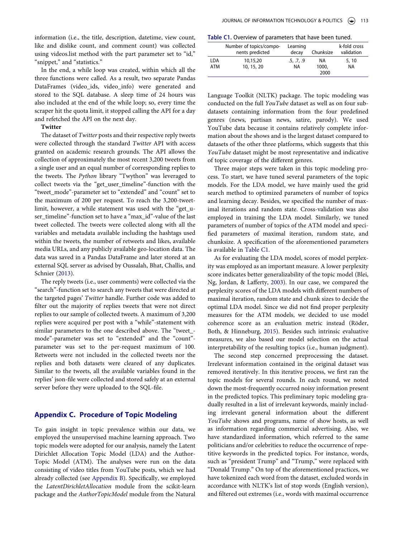information (i.e., the title, description, datetime, view count, like and dislike count, and comment count) was collected using videos.list method with the part parameter set to "id," "snippet," and "statistics."

In the end, a while loop was created, within which all the three functions were called. As a result, two separate Pandas DataFrames (video\_ids, video\_info) were generated and stored to the SQL database. A sleep time of 24 hours was also included at the end of the while loop; so, every time the scraper hit the quota limit, it stopped calling the API for a day and refetched the API on the next day.

#### **Twitter**

The dataset of *Twitter* posts and their respective reply tweets were collected through the standard *Twitter* API with access granted on academic research grounds. The API allows the collection of approximately the most recent 3,200 tweets from a single user and an equal number of corresponding replies to the tweets. The *Python* library "Twython" was leveraged to collect tweets via the "get\_user\_timeline"-function with the "tweet\_mode"-parameter set to "extended" and "count" set to the maximum of 200 per request. To reach the 3,200-tweetlimit, however, a while statement was used with the "get\_user\_timeline"-function set to have a "max\_id"-value of the last tweet collected. The tweets were collected along with all the variables and metadata available including the hashtags used within the tweets, the number of retweets and likes, available media URLs, and any publicly available geo-location data. The data was saved in a Pandas DataFrame and later stored at an external SQL server as advised by Oussalah, Bhat, Challis, and Schnier ([2013](#page-14-27)).

<span id="page-16-2"></span>The reply tweets (i.e., user comments) were collected via the "search"-function set to search any tweets that were directed at the targeted pages' *Twitter* handle. Further code was added to filter out the majority of replies tweets that were not direct replies to our sample of collected tweets. A maximum of 3,200 replies were acquired per post with a "while"-statement with similar parameters to the one described above. The "tweet\_ mode"-parameter was set to "extended" and the "count" parameter was set to the per-request maximum of 100. Retweets were not included in the collected tweets nor the replies and both datasets were cleared of any duplicates. Similar to the tweets, all the available variables found in the replies' json-file were collected and stored safely at an external server before they were uploaded to the SQL-file.

#### <span id="page-16-0"></span>**Appendix C. Procedure of Topic Modeling**

To gain insight in topic prevalence within our data, we employed the unsupervised machine learning approach. Two topic models were adopted for our analysis, namely the Latent Dirichlet Allocation Topic Model (LDA) and the Author-Topic Model (ATM). The analyses were run on the data consisting of video titles from YouTube posts, which we had already collected (see [Appendix B\)](#page-15-9). Specifically, we employed the *LatentDirichletAllocation* module from the scikit-learn package and the *AuthorTopicModel* module from the Natural

<span id="page-16-4"></span>**Table C1.** Overview of parameters that have been tuned.

|            | Number of topics/compo-<br>nents predicted | Learning<br>decav | Chunksize | k-fold cross<br>validation |
|------------|--------------------------------------------|-------------------|-----------|----------------------------|
| LDA        | 10,15,20                                   | .5, .7, .9        | ΝA        | 5, 10                      |
| <b>ATM</b> | 10, 15, 20                                 | <b>NA</b>         | 1000,     | NA                         |
|            |                                            |                   | 2000      |                            |

Language Toolkit (NLTK) package. The topic modeling was conducted on the full *YouTube* dataset as well as on four subdatasets containing information from the four predefined genres (news, partisan news, satire, parody). We used YouTube data because it contains relatively complete information about the shows and is the largest dataset compared to datasets of the other three platforms, which suggests that this *YouTube* dataset might be most representative and indicative of topic coverage of the different genres.

Three major steps were taken in this topic modeling process. To start, we have tuned several parameters of the topic models. For the LDA model, we have mainly used the grid search method to optimized parameters of number of topics and learning decay. Besides, we specified the number of maximal iterations and random state. Cross-validation was also employed in training the LDA model. Similarly, we tuned parameters of number of topics of the ATM model and specified parameters of maximal iteration, random state, and chunksize. A specification of the aforementioned parameters is available in [Table C1.](#page-16-4)

<span id="page-16-1"></span>As for evaluating the LDA model, scores of model perplexity was employed as an important measure. A lower perplexity score indicates better generalizability of the topic model (Blei, Ng, Jordan, & Lafferty, [2003](#page-12-12)). In our case, we compared the perplexity scores of the LDA models with different numbers of maximal iteration, random state and chunk sizes to decide the optimal LDA model. Since we did not find proper perplexity measures for the ATM models, we decided to use model coherence score as an evaluation metric instead (Röder, Both, & Hinneburg, [2015\)](#page-14-28). Besides such intrinsic evaluative measures, we also based our model selection on the actual interpretability of the resulting topics (i.e., human judgment).

<span id="page-16-3"></span>The second step concerned preprocessing the dataset. Irrelevant information contained in the original dataset was removed iteratively. In this iterative process, we first ran the topic models for several rounds. In each round, we noted down the most-frequently occurred noisy information present in the predicted topics. This preliminary topic modeling gradually resulted in a list of irrelevant keywords, mainly including irrelevant general information about the different *YouTube* shows and programs, name of show hosts, as well as information regarding commercial advertising. Also, we have standardized information, which referred to the same politicians and/or celebrities to reduce the occurrence of repetitive keywords in the predicted topics. For instance, words, such as "president Trump" and "Trump," were replaced with "Donald Trump." On top of the aforementioned practices, we have tokenized each word from the dataset, excluded words in accordance with NLTK's list of stop words (English version), and filtered out extremes (i.e., words with maximal occurrence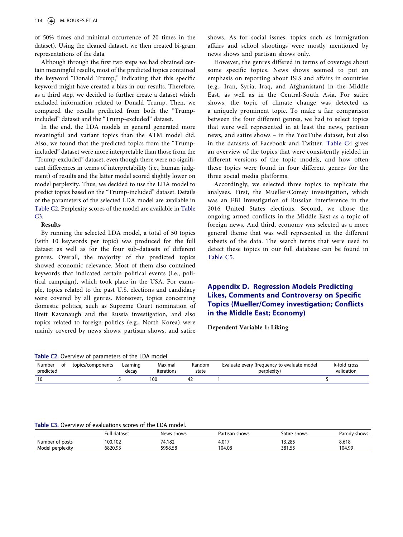of 50% times and minimal occurrence of 20 times in the dataset). Using the cleaned dataset, we then created bi-gram representations of the data.

Although through the first two steps we had obtained certain meaningful results, most of the predicted topics contained the keyword "Donald Trump," indicating that this specific keyword might have created a bias in our results. Therefore, as a third step, we decided to further create a dataset which excluded information related to Donald Trump. Then, we compared the results predicted from both the "Trumpincluded" dataset and the "Trump-excluded" dataset.

In the end, the LDA models in general generated more meaningful and variant topics than the ATM model did. Also, we found that the predicted topics from the "Trumpincluded" dataset were more interpretable than those from the "Trump-excluded" dataset, even though there were no significant differences in terms of interpretability (i.e., human judgment) of results and the latter model scored slightly lower on model perplexity. Thus, we decided to use the LDA model to predict topics based on the "Trump-included" dataset. Details of the parameters of the selected LDA model are available in [Table C2](#page-17-1). Perplexity scores of the model are available in [Table](#page-17-2)  [C3.](#page-17-2)

#### **Results**

By running the selected LDA model, a total of 50 topics (with 10 keywords per topic) was produced for the full dataset as well as for the four sub-datasets of different genres. Overall, the majority of the predicted topics showed economic relevance. Most of them also contained keywords that indicated certain political events (i.e., political campaign), which took place in the USA. For example, topics related to the past U.S. elections and candidacy were covered by all genres. Moreover, topics concerning domestic politics, such as Supreme Court nomination of Brett Kavanaugh and the Russia investigation, and also topics related to foreign politics (e.g., North Korea) were mainly covered by news shows, partisan shows, and satire

<span id="page-17-1"></span>**Table C2.** Overview of parameters of the LDA model.

shows. As for social issues, topics such as immigration affairs and school shootings were mostly mentioned by news shows and partisan shows only.

However, the genres differed in terms of coverage about some specific topics. News shows seemed to put an emphasis on reporting about ISIS and affairs in countries (e.g., Iran, Syria, Iraq, and Afghanistan) in the Middle East, as well as in the Central-South Asia. For satire shows, the topic of climate change was detected as a uniquely prominent topic. To make a fair comparison between the four different genres, we had to select topics that were well represented in at least the news, partisan news, and satire shows – in the YouTube dataset, but also in the datasets of Facebook and Twitter. [Table C4](#page-18-0) gives an overview of the topics that were consistently yielded in different versions of the topic models, and how often these topics were found in four different genres for the three social media platforms.

Accordingly, we selected three topics to replicate the analyses. First, the Mueller/Comey investigation, which was an FBI investigation of Russian interference in the 2016 United States elections. Second, we chose the ongoing armed conflicts in the Middle East as a topic of foreign news. And third, economy was selected as a more general theme that was well represented in the different subsets of the data. The search terms that were used to detect these topics in our full database can be found in [Table C5](#page-18-1).

## <span id="page-17-0"></span>**Appendix D. Regression Models Predicting Likes, Comments and Controversy on Specific Topics (Mueller/Comey investigation; Conflicts in the Middle East; Economy)**

**Dependent Variable 1: Liking**

|                             | Table C2. Overview of parameters of the LDA model. |                   |                       |                 |                                                            |                            |
|-----------------------------|----------------------------------------------------|-------------------|-----------------------|-----------------|------------------------------------------------------------|----------------------------|
| Number<br>. of<br>predicted | topics/components                                  | Learning<br>decav | Maximal<br>iterations | Random<br>state | Evaluate every (frequency to evaluate model<br>perplexity) | k-fold cross<br>validation |
| 10                          |                                                    |                   | 100                   |                 |                                                            |                            |
|                             |                                                    |                   |                       |                 |                                                            |                            |

<span id="page-17-2"></span>**Table C3.** Overview of evaluations scores of the LDA model.

|                  | Full<br>l dataset | News shows | Partisan shows | Satire shows | Parody shows |
|------------------|-------------------|------------|----------------|--------------|--------------|
| Number of posts  | 100,102           | 74,182     | 4,017          | 13,285       | 8,618        |
| Model perplexity | 6820.93           | 5958.58    | 104.08         | 381.55       | 104.99       |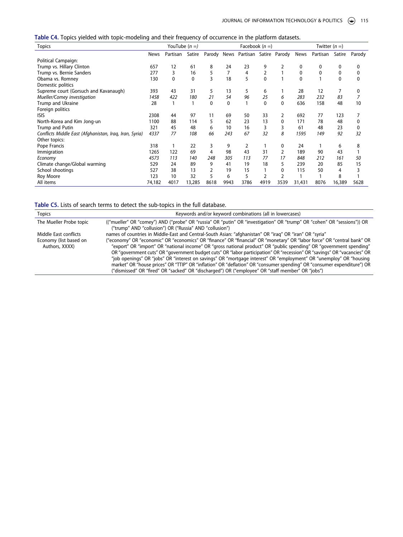<span id="page-18-0"></span>

|  |  |  |  |  | Table C4. Topics yielded with topic-modeling and their frequency of occurrence in the platform datasets. |  |
|--|--|--|--|--|----------------------------------------------------------------------------------------------------------|--|
|--|--|--|--|--|----------------------------------------------------------------------------------------------------------|--|

| <b>Topics</b>                                          |             | YouTube $(n =)$ |        |      |      | Facebook $(n=)$                    |              |      |              | Twitter $(n =)$ |        |             |
|--------------------------------------------------------|-------------|-----------------|--------|------|------|------------------------------------|--------------|------|--------------|-----------------|--------|-------------|
|                                                        | <b>News</b> | Partisan        | Satire |      |      | Parody News Partisan Satire Parody |              |      | News         | Partisan        | Satire | Parody      |
| <b>Political Campaign:</b>                             |             |                 |        |      |      |                                    |              |      |              |                 |        |             |
| Trump vs. Hillary Clinton                              | 657         | 12              | 61     | 8    | 24   | 23                                 | 9            | 2    | 0            | 0               | 0      | 0           |
| Trump vs. Bernie Sanders                               | 277         | 3               | 16     | 5    | 7    | 4                                  | 2            |      | 0            | 0               | 0      | 0           |
| Obama vs. Romney                                       | 130         | $\mathbf{0}$    | 0      | 3    | 18   | 5                                  | $\mathbf{0}$ |      | $\mathbf{0}$ |                 | 0      | $\mathbf 0$ |
| Domestic politics                                      |             |                 |        |      |      |                                    |              |      |              |                 |        |             |
| Supreme court (Gorsuch and Kavanaugh)                  | 393         | 43              | 31     | 5    | 13   | 5                                  | 6            |      | 28           | 12              | 7      | 0           |
| Mueller/Comey investigation                            | 1458        | 422             | 180    | 21   | 54   | 96                                 | 25           | 6    | 283          | 232             | 83     | 7           |
| Trump and Ukraine                                      | 28          |                 |        | 0    | 0    |                                    | $\mathbf{0}$ | 0    | 636          | 158             | 48     | 10          |
| Foreign politics                                       |             |                 |        |      |      |                                    |              |      |              |                 |        |             |
| <b>ISIS</b>                                            | 2308        | 44              | 97     | 11   | 69   | 50                                 | 33           | 2    | 692          | 77              | 123    |             |
| North-Korea and Kim Jong-un                            | 1100        | 88              | 114    | 5    | 62   | 23                                 | 13           | 0    | 171          | 78              | 48     | 0           |
| Trump and Putin                                        | 321         | 45              | 48     | 6    | 10   | 16                                 | 3            | 3    | 61           | 48              | 23     | 0           |
| Conflicts Middle East (Afghanistan, Iraq, Iran, Syria) | 4337        | 77              | 108    | 66   | 243  | 67                                 | 32           | 8    | 1595         | 149             | 92     | 32          |
| Other topics:                                          |             |                 |        |      |      |                                    |              |      |              |                 |        |             |
| Pope Francis                                           | 318         |                 | 22     | 3    | 9    | 2                                  |              | 0    | 24           |                 | 6      | 8           |
| Immigration                                            | 1265        | 122             | 69     | 4    | 98   | 43                                 | 31           |      | 189          | 90              | 43     |             |
| Economy                                                | 4573        | 113             | 140    | 248  | 305  | 113                                | 77           | 17   | 848          | 212             | 161    | 50          |
| Climate change/Global warming                          | 529         | 24              | 89     | 9    | 41   | 19                                 | 18           | 5    | 239          | 20              | 85     | 15          |
| School shootings                                       | 527         | 38              | 13     |      | 19   | 15                                 |              | 0    | 115          | 50              | 4      | 3           |
| Roy Moore                                              | 123         | 10              | 32     | 5    | 6    | 5                                  | 2            |      |              |                 | 8      |             |
| All items                                              | 74,182      | 4017            | 13,285 | 8618 | 9943 | 3786                               | 4919         | 3539 | 31,431       | 8076            | 16,389 | 5628        |

<span id="page-18-1"></span>

| <b>Topics</b>           | Keywords and/or keyword combinations (all in lowercases)                                                                                                                          |
|-------------------------|-----------------------------------------------------------------------------------------------------------------------------------------------------------------------------------|
| The Mueller Probe topic | ("mueller" OR "comey") AND ("probe" OR "russia" OR "putin" OR "investigation" OR "trump" OR "cohen" OR "sessions")) OR<br>("trump" AND "collusion") OR ("Russia" AND "collusion") |
| Middle East conflicts   | names of countries in Middle-East and Central-South Asian: "afghanistan" OR "iraq" OR "iran" OR "syria"                                                                           |
| Economy (list based on  | ("economy" OR "economic" OR "economics" OR "finance" OR "financial" OR "monetary" OR "labor force" OR "central bank" OR                                                           |
| Authors, XXXX)          | "export" OR "import" OR "national income" OR "gross national product" OR "public spending" OR "government spending"                                                               |
|                         | OR "government cuts" OR "government budget cuts" OR "labor participation" OR "recession" OR "savings" OR "vacancies" OR                                                           |
|                         | "job openings" OR "jobs" OR "interest on savings" OR "mortgage interest" OR "employment" OR "unemploy" OR "housing                                                                |
|                         | market" OR "house prices" OR "TTIP" OR "inflation" OR "deflation" OR "consumer spending" OR "consumer expenditure") OR                                                            |
|                         | ("dismissed" OR "fired" OR "sacked" OR "discharged") OR ("employee" OR "staff member" OR "jobs")                                                                                  |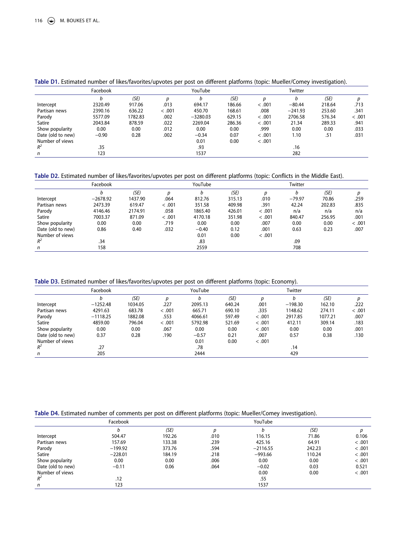|                   | Facebook |         | YouTube |            |        |        | Twitter   |        |        |
|-------------------|----------|---------|---------|------------|--------|--------|-----------|--------|--------|
|                   |          | (SE)    | D       |            | (SE)   |        | b         | (SE)   |        |
| Intercept         | 2320.49  | 917.06  | .013    | 694.17     | 186.66 | < .001 | $-80.44$  | 218.64 | .713   |
| Partisan news     | 2390.16  | 636.22  | < .001  | 450.70     | 168.61 | .008   | $-241.93$ | 253.60 | .341   |
| Parody            | 5577.09  | 1782.83 | .002    | $-3280.03$ | 629.15 | < .001 | 2706.58   | 576.34 | < .001 |
| Satire            | 2043.84  | 878.59  | .022    | 2269.04    | 286.36 | < .001 | 21.34     | 289.33 | .941   |
| Show popularity   | 0.00     | 0.00    | .012    | 0.00       | 0.00   | .999   | 0.00      | 0.00   | .033   |
| Date (old to new) | $-0.90$  | 0.28    | .002    | $-0.34$    | 0.07   | < .001 | 1.10      | .51    | .031   |
| Number of views   |          |         |         | 0.01       | 0.00   | < .001 |           |        |        |
| $R^2$             | .35      |         |         | .93        |        |        | .16       |        |        |
| n                 | 123      |         |         | 1537       |        |        | 282       |        |        |

#### **Table D1.** Estimated number of likes/favorites/upvotes per post on different platforms (topic: Mueller/Comey investigation).

**Table D2.** Estimated number of likes/favorites/upvotes per post on different platforms (topic: Conflicts in the Middle East).

|                   | Facebook   |         |        | YouTube |        |        | Twitter  |        |        |
|-------------------|------------|---------|--------|---------|--------|--------|----------|--------|--------|
|                   | b          | (SE)    |        | b       | (SE)   | D      | h        | (SE)   | Ŋ      |
| Intercept         | $-2678.92$ | 1437.90 | .064   | 812.76  | 315.13 | .010   | $-79.97$ | 70.86  | .259   |
| Partisan news     | 2473.39    | 619.47  | < .001 | 351.58  | 409.98 | .391   | 42.24    | 202.83 | .835   |
| Parody            | 4146.46    | 2174.91 | .058   | 1865.40 | 426.01 | < .001 | n/a      | n/a    | n/a    |
| Satire            | 7003.37    | 871.09  | < .001 | 4170.18 | 351.98 | < .001 | 840.47   | 256.95 | .001   |
| Show popularity   | 0.00       | 0.00    | .719   | 0.00    | 0.00   | .007   | 0.00     | 0.00   | < .001 |
| Date (old to new) | 0.86       | 0.40    | .032   | $-0.40$ | 0.12   | .001   | 0.63     | 0.23   | .007   |
| Number of views   |            |         |        | 0.01    | 0.00   | < .001 |          |        |        |
| $R^2$             | .34        |         |        | .83     |        |        | .09      |        |        |
| n                 | 158        |         |        | 2559    |        |        | 708      |        |        |

**Table D3.** Estimated number of likes/favorites/upvotes per post on different platforms (topic: Economy).

|                   | Facebook   |         |        | YouTube |        |        | Twitter   |         |        |
|-------------------|------------|---------|--------|---------|--------|--------|-----------|---------|--------|
|                   |            | (SE)    | D      |         | (SE)   | n      |           | (SE)    |        |
| Intercept         | $-1252.48$ | 1034.05 | .227   | 2095.13 | 640.24 | .001   | $-198.30$ | 162.10  | .222   |
| Partisan news     | 4291.63    | 683.78  | < .001 | 665.71  | 690.10 | .335   | 1148.62   | 274.11  | < .001 |
| Parody            | $-1118.25$ | 1882.08 | .553   | 4066.61 | 597.49 | < .001 | 2917.85   | 1077.21 | .007   |
| Satire            | 4859.00    | 796.04  | < .001 | 5792.98 | 521.69 | < .001 | 412.11    | 309.14  | .183   |
| Show popularity   | 0.00       | 0.00    | .067   | 0.00    | 0.00   | < .001 | 0.00      | 0.00    | .001   |
| Date (old to new) | 0.37       | 0.28    | .190   | $-0.57$ | 0.21   | .007   | 0.57      | 0.38    | .130   |
| Number of views   |            |         |        | 0.01    | 0.00   | < .001 |           |         |        |
| $R^2$             | .27        |         |        | .78     |        |        | .14       |         |        |
| n                 | 205        |         |        | 2444    |        |        | 429       |         |        |

**Table D4.** Estimated number of comments per post on different platforms (topic: Mueller/Comey investigation).

|                   | Facebook  |        |      | YouTube    | $\tilde{\phantom{a}}$ |        |
|-------------------|-----------|--------|------|------------|-----------------------|--------|
|                   | b         | (SE)   | D    |            | (SE)                  | D      |
| Intercept         | 504.47    | 192.26 | .010 | 116.15     | 71.86                 | 0.106  |
| Partisan news     | 157.69    | 133.38 | .239 | 425.16     | 64.91                 | < .001 |
| Parody            | $-199.92$ | 373.76 | .594 | $-2116.55$ | 242.23                | < .001 |
| Satire            | $-228.01$ | 184.19 | .218 | $-993.66$  | 110.24                | < .001 |
| Show popularity   | 0.00      | 0.00   | .006 | 0.00       | 0.00                  | < .001 |
| Date (old to new) | $-0.11$   | 0.06   | .064 | $-0.02$    | 0.03                  | 0.521  |
| Number of views   |           |        |      | 0.00       | 0.00                  | < .001 |
| $R^2$             | .12       |        |      | .55        |                       |        |
| n                 | 123       |        |      | 1537       |                       |        |